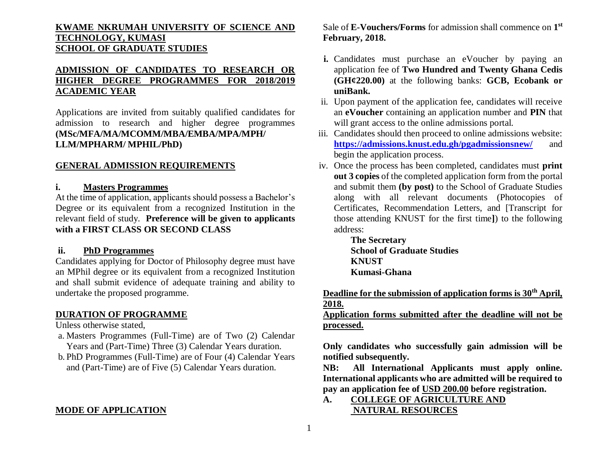# **KWAME NKRUMAH UNIVERSITY OF SCIENCE AND TECHNOLOGY, KUMASI SCHOOL OF GRADUATE STUDIES**

# **ADMISSION OF CANDIDATES TO RESEARCH OR HIGHER DEGREE PROGRAMMES FOR 2018/2019 ACADEMIC YEAR**

Applications are invited from suitably qualified candidates for admission to research and higher degree programmes **(MSc/MFA/MA/MCOMM/MBA/EMBA/MPA/MPH/ LLM/MPHARM/ MPHIL/PhD)**

## **GENERAL ADMISSION REQUIREMENTS**

# **i. Masters Programmes**

At the time of application, applicants should possess a Bachelor's Degree or its equivalent from a recognized Institution in the relevant field of study. **Preference will be given to applicants with a FIRST CLASS OR SECOND CLASS** 

## **ii. PhD Programmes**

Candidates applying for Doctor of Philosophy degree must have an MPhil degree or its equivalent from a recognized Institution and shall submit evidence of adequate training and ability to undertake the proposed programme.

### **DURATION OF PROGRAMME**

Unless otherwise stated,

- a. Masters Programmes (Full-Time) are of Two (2) Calendar Years and (Part-Time) Three (3) Calendar Years duration.
- b. PhD Programmes (Full-Time) are of Four (4) Calendar Years and (Part-Time) are of Five (5) Calendar Years duration.

## **MODE OF APPLICATION**

Sale of **E-Vouchers/Forms** for admission shall commence on **1 st February, 2018.**

- **i.** Candidates must purchase an eVoucher by paying an application fee of **Two Hundred and Twenty Ghana Cedis (GH¢220.00)** at the following banks: **GCB, Ecobank or uniBank.**
- ii. Upon payment of the application fee, candidates will receive an **eVoucher** containing an application number and **PIN** that will grant access to the online admissions portal.
- iii. Candidates should then proceed to online admissions website: **<https://admissions.knust.edu.gh/pgadmissionsnew/>** and begin the application process.
- iv. Once the process has been completed, candidates must **print out 3 copies** of the completed application form from the portal and submit them **(by post)** to the School of Graduate Studies along with all relevant documents (Photocopies of Certificates, Recommendation Letters, and [Transcript for those attending KNUST for the first time**]**) to the following address:

**The Secretary School of Graduate Studies KNUST Kumasi-Ghana**

**Deadline for the submission of application forms is 30th April, 2018.** 

**Application forms submitted after the deadline will not be processed.**

**Only candidates who successfully gain admission will be notified subsequently.**

**NB: All International Applicants must apply online. International applicants who are admitted will be required to pay an application fee of USD 200.00 before registration.**

**A. COLLEGE OF AGRICULTURE AND NATURAL RESOURCES**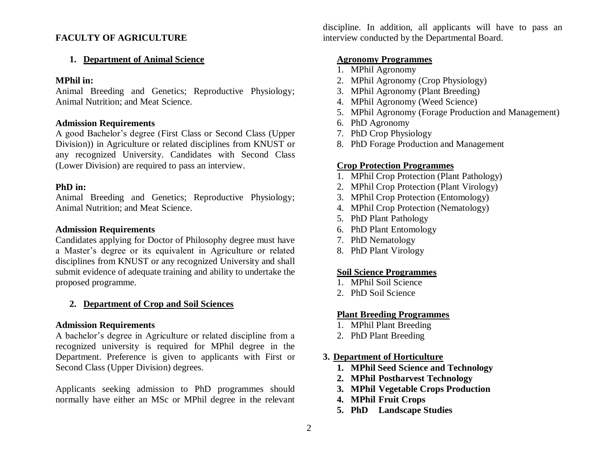## **FACULTY OF AGRICULTURE**

### **1. Department of Animal Science**

### **MPhil in:**

Animal Breeding and Genetics; Reproductive Physiology; Animal Nutrition; and Meat Science.

### **Admission Requirements**

A good Bachelor's degree (First Class or Second Class (Upper Division)) in Agriculture or related disciplines from KNUST or any recognized University. Candidates with Second Class (Lower Division) are required to pass an interview.

### **PhD in:**

Animal Breeding and Genetics; Reproductive Physiology; Animal Nutrition; and Meat Science.

## **Admission Requirements**

Candidates applying for Doctor of Philosophy degree must have a Master's degree or its equivalent in Agriculture or related disciplines from KNUST or any recognized University and shall submit evidence of adequate training and ability to undertake the proposed programme.

### **2. Department of Crop and Soil Sciences**

### **Admission Requirements**

A bachelor's degree in Agriculture or related discipline from a recognized university is required for MPhil degree in the Department. Preference is given to applicants with First or Second Class (Upper Division) degrees.

Applicants seeking admission to PhD programmes should normally have either an MSc or MPhil degree in the relevant discipline. In addition, all applicants will have to pass an interview conducted by the Departmental Board.

### **Agronomy Programmes**

- 1. MPhil Agronomy
- 2. MPhil Agronomy (Crop Physiology)
- 3. MPhil Agronomy (Plant Breeding)
- 4. MPhil Agronomy (Weed Science)
- 5. MPhil Agronomy (Forage Production and Management)
- 6. PhD Agronomy
- 7. PhD Crop Physiology
- 8. PhD Forage Production and Management

### **Crop Protection Programmes**

- 1. MPhil Crop Protection (Plant Pathology)
- 2. MPhil Crop Protection (Plant Virology)
- 3. MPhil Crop Protection (Entomology)
- 4. MPhil Crop Protection (Nematology)
- 5. PhD Plant Pathology
- 6. PhD Plant Entomology
- 7. PhD Nematology
- 8. PhD Plant Virology

### **Soil Science Programmes**

- 1. MPhil Soil Science
- 2. PhD Soil Science

### **Plant Breeding Programmes**

- 1. MPhil Plant Breeding
- 2. PhD Plant Breeding

### **3. Department of Horticulture**

- **1. MPhil Seed Science and Technology**
- **2. MPhil Postharvest Technology**
- **3. MPhil Vegetable Crops Production**
- **4. MPhil Fruit Crops**
- **5. PhD Landscape Studies**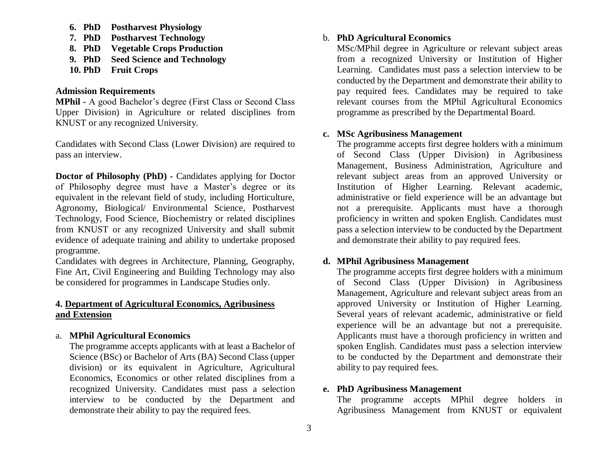- **6. PhD Postharvest Physiology**
- **7. PhD Postharvest Technology**
- **8. PhD Vegetable Crops Production**
- **9. PhD Seed Science and Technology**
- **10. PhD Fruit Crops**

### **Admission Requirements**

**MPhil -** A good Bachelor's degree (First Class or Second Class Upper Division) in Agriculture or related disciplines from KNUST or any recognized University.

Candidates with Second Class (Lower Division) are required to pass an interview.

**Doctor of Philosophy (PhD) -** Candidates applying for Doctor of Philosophy degree must have a Master's degree or its equivalent in the relevant field of study, including Horticulture, Agronomy, Biological/ Environmental Science, Postharvest Technology, Food Science, Biochemistry or related disciplines from KNUST or any recognized University and shall submit evidence of adequate training and ability to undertake proposed programme.

Candidates with degrees in Architecture, Planning, Geography, Fine Art, Civil Engineering and Building Technology may also be considered for programmes in Landscape Studies only.

# **4. Department of Agricultural Economics, Agribusiness and Extension**

# a. **MPhil Agricultural Economics**

The programme accepts applicants with at least a Bachelor of Science (BSc) or Bachelor of Arts (BA) Second Class (upper division) or its equivalent in Agriculture, Agricultural Economics, Economics or other related disciplines from a recognized University. Candidates must pass a selection interview to be conducted by the Department and demonstrate their ability to pay the required fees.

## b. **PhD Agricultural Economics**

MSc/MPhil degree in Agriculture or relevant subject areas from a recognized University or Institution of Higher Learning. Candidates must pass a selection interview to be conducted by the Department and demonstrate their ability to pay required fees. Candidates may be required to take relevant courses from the MPhil Agricultural Economics programme as prescribed by the Departmental Board.

## **c. MSc Agribusiness Management**

The programme accepts first degree holders with a minimum of Second Class (Upper Division) in Agribusiness Management, Business Administration, Agriculture and relevant subject areas from an approved University or Institution of Higher Learning. Relevant academic, administrative or field experience will be an advantage but not a prerequisite. Applicants must have a thorough proficiency in written and spoken English. Candidates must pass a selection interview to be conducted by the Department and demonstrate their ability to pay required fees.

## **d. MPhil Agribusiness Management**

The programme accepts first degree holders with a minimum of Second Class (Upper Division) in Agribusiness Management, Agriculture and relevant subject areas from an approved University or Institution of Higher Learning. Several years of relevant academic, administrative or field experience will be an advantage but not a prerequisite. Applicants must have a thorough proficiency in written and spoken English. Candidates must pass a selection interview to be conducted by the Department and demonstrate their ability to pay required fees.

# **e. PhD Agribusiness Management**

The programme accepts MPhil degree holders in Agribusiness Management from KNUST or equivalent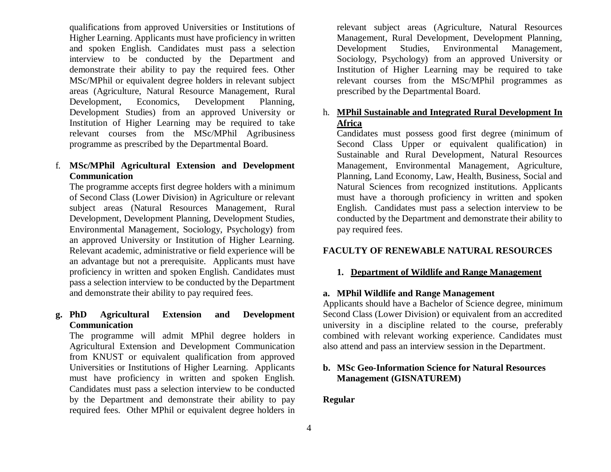qualifications from approved Universities or Institutions of Higher Learning. Applicants must have proficiency in written and spoken English. Candidates must pass a selection interview to be conducted by the Department and demonstrate their ability to pay the required fees. Other MSc/MPhil or equivalent degree holders in relevant subject areas (Agriculture, Natural Resource Management, Rural Development, Economics, Development Planning, Development Studies) from an approved University or Institution of Higher Learning may be required to take relevant courses from the MSc/MPhil Agribusiness programme as prescribed by the Departmental Board.

# f. **MSc/MPhil Agricultural Extension and Development Communication**

The programme accepts first degree holders with a minimum of Second Class (Lower Division) in Agriculture or relevant subject areas (Natural Resources Management, Rural Development, Development Planning, Development Studies, Environmental Management, Sociology, Psychology) from an approved University or Institution of Higher Learning. Relevant academic, administrative or field experience will be an advantage but not a prerequisite. Applicants must have proficiency in written and spoken English. Candidates must pass a selection interview to be conducted by the Department and demonstrate their ability to pay required fees.

# **g. PhD Agricultural Extension and Development Communication**

The programme will admit MPhil degree holders in Agricultural Extension and Development Communication from KNUST or equivalent qualification from approved Universities or Institutions of Higher Learning. Applicants must have proficiency in written and spoken English. Candidates must pass a selection interview to be conducted by the Department and demonstrate their ability to pay required fees. Other MPhil or equivalent degree holders in

relevant subject areas (Agriculture, Natural Resources Management, Rural Development, Development Planning, Development Studies, Environmental Management, Sociology, Psychology) from an approved University or Institution of Higher Learning may be required to take relevant courses from the MSc/MPhil programmes as prescribed by the Departmental Board.

# h. **MPhil Sustainable and Integrated Rural Development In Africa**

Candidates must possess good first degree (minimum of Second Class Upper or equivalent qualification) in Sustainable and Rural Development, Natural Resources Management, Environmental Management, Agriculture, Planning, Land Economy, Law, Health, Business, Social and Natural Sciences from recognized institutions. Applicants must have a thorough proficiency in written and spoken English. Candidates must pass a selection interview to be conducted by the Department and demonstrate their ability to pay required fees.

# **FACULTY OF RENEWABLE NATURAL RESOURCES**

# **1. Department of Wildlife and Range Management**

# **a. MPhil Wildlife and Range Management**

Applicants should have a Bachelor of Science degree, minimum Second Class (Lower Division) or equivalent from an accredited university in a discipline related to the course, preferably combined with relevant working experience. Candidates must also attend and pass an interview session in the Department.

# **b. MSc Geo-Information Science for Natural Resources Management (GISNATUREM)**

# **Regular**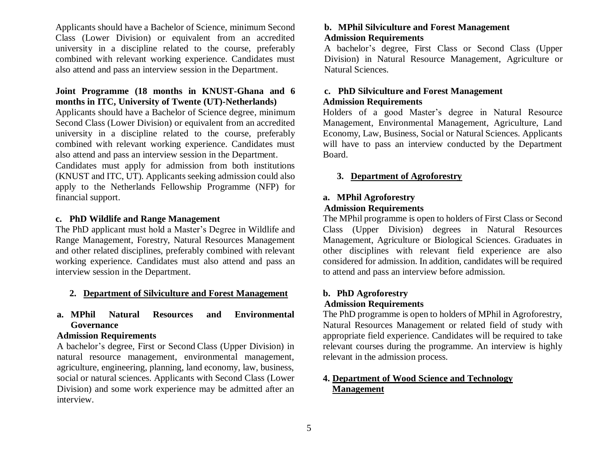Applicants should have a Bachelor of Science, minimum Second Class (Lower Division) or equivalent from an accredited university in a discipline related to the course, preferably combined with relevant working experience. Candidates must also attend and pass an interview session in the Department.

# **Joint Programme (18 months in KNUST-Ghana and 6 months in ITC, University of Twente (UT)-Netherlands)**

Applicants should have a Bachelor of Science degree, minimum Second Class (Lower Division) or equivalent from an accredited university in a discipline related to the course, preferably combined with relevant working experience. Candidates must also attend and pass an interview session in the Department.

Candidates must apply for admission from both institutions (KNUST and ITC, UT). Applicants seeking admission could also apply to the Netherlands Fellowship Programme (NFP) for financial support.

## **c. PhD Wildlife and Range Management**

The PhD applicant must hold a Master's Degree in Wildlife and Range Management, Forestry, Natural Resources Management and other related disciplines, preferably combined with relevant working experience. Candidates must also attend and pass an interview session in the Department.

### **2. Department of Silviculture and Forest Management**

# **a. MPhil Natural Resources and Environmental Governance**

## **Admission Requirements**

A bachelor's degree, First or Second Class (Upper Division) in natural resource management, environmental management, agriculture, engineering, planning, land economy, law, business, social or natural sciences. Applicants with Second Class (Lower Division) and some work experience may be admitted after an interview.

### **b. MPhil Silviculture and Forest Management Admission Requirements**

A bachelor's degree, First Class or Second Class (Upper Division) in Natural Resource Management, Agriculture or Natural Sciences.

# **c. PhD Silviculture and Forest Management Admission Requirements**

Holders of a good Master's degree in Natural Resource Management, Environmental Management, Agriculture, Land Economy, Law, Business, Social or Natural Sciences. Applicants will have to pass an interview conducted by the Department Board.

### **3. Department of Agroforestry**

## **a. MPhil Agroforestry Admission Requirements**

The MPhil programme is open to holders of First Class or Second Class (Upper Division) degrees in Natural Resources Management, Agriculture or Biological Sciences. Graduates in other disciplines with relevant field experience are also considered for admission. In addition, candidates will be required to attend and pass an interview before admission.

# **b. PhD Agroforestry**

# **Admission Requirements**

The PhD programme is open to holders of MPhil in Agroforestry, Natural Resources Management or related field of study with appropriate field experience. Candidates will be required to take relevant courses during the programme. An interview is highly relevant in the admission process.

# **4. Department of Wood Science and Technology Management**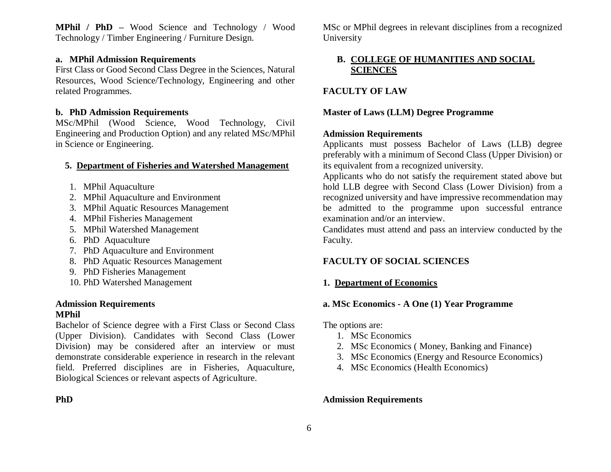**MPhil / PhD –** Wood Science and Technology / Wood Technology / Timber Engineering / Furniture Design.

## **a. MPhil Admission Requirements**

First Class or Good Second Class Degree in the Sciences, Natural Resources, Wood Science/Technology, Engineering and other related Programmes.

## **b. PhD Admission Requirements**

MSc/MPhil (Wood Science, Wood Technology, Civil Engineering and Production Option) and any related MSc/MPhil in Science or Engineering.

## **5. Department of Fisheries and Watershed Management**

- 1. MPhil Aquaculture
- 2. MPhil Aquaculture and Environment
- 3. MPhil Aquatic Resources Management
- 4. MPhil Fisheries Management
- 5. MPhil Watershed Management
- 6. PhD Aquaculture
- 7. PhD Aquaculture and Environment
- 8. PhD Aquatic Resources Management
- 9. PhD Fisheries Management
- 10. PhD Watershed Management

## **Admission Requirements MPhil**

Bachelor of Science degree with a First Class or Second Class (Upper Division). Candidates with Second Class (Lower Division) may be considered after an interview or must demonstrate considerable experience in research in the relevant field. Preferred disciplines are in Fisheries, Aquaculture, Biological Sciences or relevant aspects of Agriculture.

MSc or MPhil degrees in relevant disciplines from a recognized University

# **B. COLLEGE OF HUMANITIES AND SOCIAL SCIENCES**

# **FACULTY OF LAW**

## **Master of Laws (LLM) Degree Programme**

## **Admission Requirements**

Applicants must possess Bachelor of Laws (LLB) degree preferably with a minimum of Second Class (Upper Division) or its equivalent from a recognized university.

Applicants who do not satisfy the requirement stated above but hold LLB degree with Second Class (Lower Division) from a recognized university and have impressive recommendation may be admitted to the programme upon successful entrance examination and/or an interview.

Candidates must attend and pass an interview conducted by the Faculty.

# **FACULTY OF SOCIAL SCIENCES**

# **1. Department of Economics**

# **a. MSc Economics - A One (1) Year Programme**

The options are:

- 1. MSc Economics
- 2. MSc Economics ( Money, Banking and Finance)
- 3. MSc Economics (Energy and Resource Economics)
- 4. MSc Economics (Health Economics)

# **Admission Requirements**

# **PhD**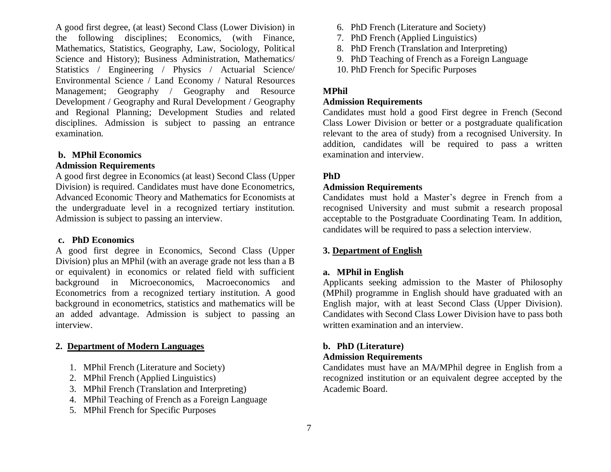A good first degree, (at least) Second Class (Lower Division) in the following disciplines; Economics, (with Finance, Mathematics, Statistics, Geography, Law, Sociology, Political Science and History); Business Administration, Mathematics/ Statistics / Engineering / Physics / Actuarial Science/ Environmental Science / Land Economy / Natural Resources Management; Geography / Geography and Resource Development / Geography and Rural Development / Geography and Regional Planning; Development Studies and related disciplines. Admission is subject to passing an entrance examination.

### **b. MPhil Economics**

### **Admission Requirements**

A good first degree in Economics (at least) Second Class (Upper Division) is required. Candidates must have done Econometrics, Advanced Economic Theory and Mathematics for Economists at the undergraduate level in a recognized tertiary institution. Admission is subject to passing an interview.

### **c. PhD Economics**

A good first degree in Economics, Second Class (Upper Division) plus an MPhil (with an average grade not less than a B or equivalent) in economics or related field with sufficient background in Microeconomics, Macroeconomics and Econometrics from a recognized tertiary institution. A good background in econometrics, statistics and mathematics will be an added advantage. Admission is subject to passing an interview.

### **2. Department of Modern Languages**

- 1. MPhil French (Literature and Society)
- 2. MPhil French (Applied Linguistics)
- 3. MPhil French (Translation and Interpreting)
- 4. MPhil Teaching of French as a Foreign Language
- 5. MPhil French for Specific Purposes
- 6. PhD French (Literature and Society)
- 7. PhD French (Applied Linguistics)
- 8. PhD French (Translation and Interpreting)
- 9. PhD Teaching of French as a Foreign Language
- 10. PhD French for Specific Purposes

### **MPhil**

### **Admission Requirements**

Candidates must hold a good First degree in French (Second Class Lower Division or better or a postgraduate qualification relevant to the area of study) from a recognised University. In addition, candidates will be required to pass a written examination and interview.

## **PhD**

### **Admission Requirements**

Candidates must hold a Master's degree in French from a recognised University and must submit a research proposal acceptable to the Postgraduate Coordinating Team. In addition, candidates will be required to pass a selection interview.

### **3. Department of English**

### **a. MPhil in English**

Applicants seeking admission to the Master of Philosophy (MPhil) programme in English should have graduated with an English major, with at least Second Class (Upper Division). Candidates with Second Class Lower Division have to pass both written examination and an interview.

## **b. PhD (Literature)**

### **Admission Requirements**

Candidates must have an MA/MPhil degree in English from a recognized institution or an equivalent degree accepted by the Academic Board.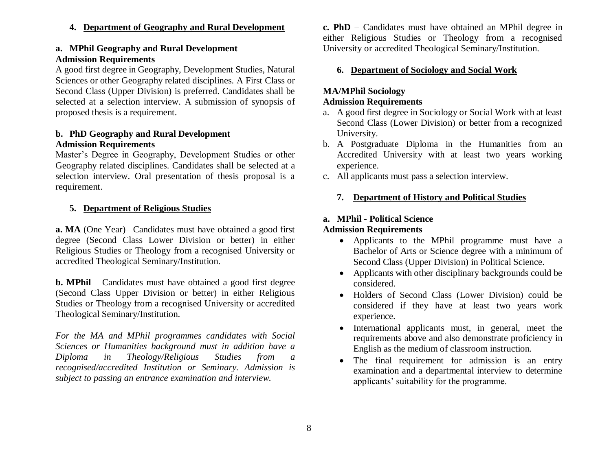**4. Department of Geography and Rural Development** 

# **a. MPhil Geography and Rural Development Admission Requirements**

A good first degree in Geography, Development Studies, Natural Sciences or other Geography related disciplines. A First Class or Second Class (Upper Division) is preferred. Candidates shall be selected at a selection interview. A submission of synopsis of proposed thesis is a requirement.

## **b. PhD Geography and Rural Development Admission Requirements**

Master's Degree in Geography, Development Studies or other Geography related disciplines. Candidates shall be selected at a selection interview. Oral presentation of thesis proposal is a requirement.

# **5. Department of Religious Studies**

**a. MA** (One Year)– Candidates must have obtained a good first degree (Second Class Lower Division or better) in either Religious Studies or Theology from a recognised University or accredited Theological Seminary/Institution.

**b. MPhil** – Candidates must have obtained a good first degree (Second Class Upper Division or better) in either Religious Studies or Theology from a recognised University or accredited Theological Seminary/Institution.

*For the MA and MPhil programmes candidates with Social Sciences or Humanities background must in addition have a Diploma in Theology/Religious Studies from a recognised/accredited Institution or Seminary. Admission is subject to passing an entrance examination and interview.*

**c. PhD** – Candidates must have obtained an MPhil degree in either Religious Studies or Theology from a recognised University or accredited Theological Seminary/Institution.

# **6. Department of Sociology and Social Work**

# **MA/MPhil Sociology**

# **Admission Requirements**

- a. A good first degree in Sociology or Social Work with at least Second Class (Lower Division) or better from a recognized University.
- b. A Postgraduate Diploma in the Humanities from an Accredited University with at least two years working experience.
- c. All applicants must pass a selection interview.

# **7. Department of History and Political Studies**

# **a. MPhil - Political Science Admission Requirements**

- Applicants to the MPhil programme must have a Bachelor of Arts or Science degree with a minimum of Second Class (Upper Division) in Political Science.
- Applicants with other disciplinary backgrounds could be considered.
- Holders of Second Class (Lower Division) could be considered if they have at least two years work experience.
- International applicants must, in general, meet the requirements above and also demonstrate proficiency in English as the medium of classroom instruction.
- The final requirement for admission is an entry examination and a departmental interview to determine applicants' suitability for the programme.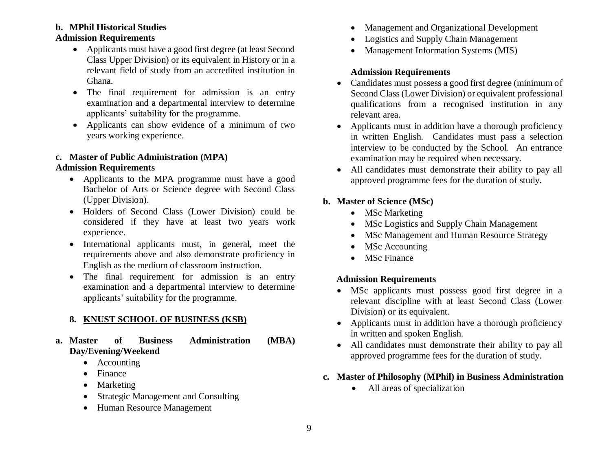# **b. MPhil Historical Studies**

# **Admission Requirements**

- Applicants must have a good first degree (at least Second Class Upper Division) or its equivalent in History or in a relevant field of study from an accredited institution in Ghana.
- The final requirement for admission is an entry examination and a departmental interview to determine applicants' suitability for the programme.
- Applicants can show evidence of a minimum of two years working experience.

## **c. Master of Public Administration (MPA) Admission Requirements**

- Applicants to the MPA programme must have a good Bachelor of Arts or Science degree with Second Class (Upper Division).
- Holders of Second Class (Lower Division) could be considered if they have at least two years work experience.
- International applicants must, in general, meet the requirements above and also demonstrate proficiency in English as the medium of classroom instruction.
- The final requirement for admission is an entry examination and a departmental interview to determine applicants' suitability for the programme.

## **8. KNUST SCHOOL OF BUSINESS (KSB)**

**a. Master of Business Administration (MBA) Day/Evening/Weekend** 

- Accounting
- Finance
- Marketing
- Strategic Management and Consulting
- Human Resource Management
- Management and Organizational Development
- Logistics and Supply Chain Management
- Management Information Systems (MIS)

# **Admission Requirements**

- Candidates must possess a good first degree (minimum of Second Class (Lower Division) or equivalent professional qualifications from a recognised institution in any relevant area.
- Applicants must in addition have a thorough proficiency in written English. Candidates must pass a selection interview to be conducted by the School. An entrance examination may be required when necessary.
- All candidates must demonstrate their ability to pay all approved programme fees for the duration of study.

# **b. Master of Science (MSc)**

- MSc Marketing
- MSc Logistics and Supply Chain Management
- MSc Management and Human Resource Strategy
- MSc Accounting
- MSc Finance

# **Admission Requirements**

- MSc applicants must possess good first degree in a relevant discipline with at least Second Class (Lower Division) or its equivalent.
- Applicants must in addition have a thorough proficiency in written and spoken English.
- All candidates must demonstrate their ability to pay all approved programme fees for the duration of study.
- **c. Master of Philosophy (MPhil) in Business Administration** 
	- All areas of specialization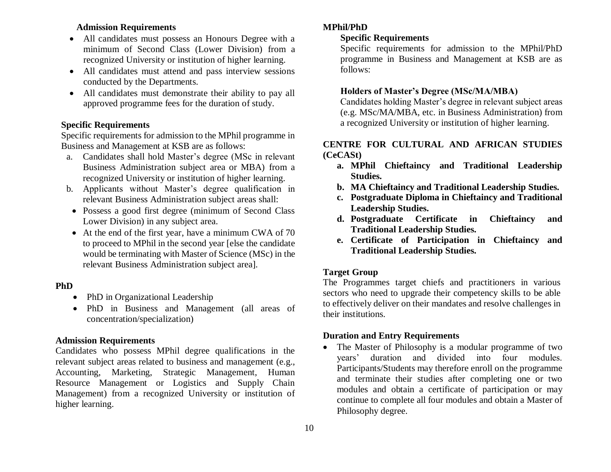# **Admission Requirements**

- All candidates must possess an Honours Degree with a minimum of Second Class (Lower Division) from a recognized University or institution of higher learning.
- All candidates must attend and pass interview sessions conducted by the Departments.
- All candidates must demonstrate their ability to pay all approved programme fees for the duration of study.

### **Specific Requirements**

Specific requirements for admission to the MPhil programme in Business and Management at KSB are as follows:

- a. Candidates shall hold Master's degree (MSc in relevant Business Administration subject area or MBA) from a recognized University or institution of higher learning.
- b. Applicants without Master's degree qualification in relevant Business Administration subject areas shall:
- Possess a good first degree (minimum of Second Class Lower Division) in any subject area.
- At the end of the first year, have a minimum CWA of 70 to proceed to MPhil in the second year [else the candidate would be terminating with Master of Science (MSc) in the relevant Business Administration subject area].

### **PhD**

- PhD in Organizational Leadership
- PhD in Business and Management (all areas of concentration/specialization)

### **Admission Requirements**

Candidates who possess MPhil degree qualifications in the relevant subject areas related to business and management (e.g., Accounting, Marketing, Strategic Management, Human Resource Management or Logistics and Supply Chain Management) from a recognized University or institution of higher learning.

### **MPhil/PhD**

# **Specific Requirements**

Specific requirements for admission to the MPhil/PhD programme in Business and Management at KSB are as follows:

### **Holders of Master's Degree (MSc/MA/MBA)**

Candidates holding Master's degree in relevant subject areas (e.g. MSc/MA/MBA, etc. in Business Administration) from a recognized University or institution of higher learning.

# **CENTRE FOR CULTURAL AND AFRICAN STUDIES (CeCASt)**

- **a. MPhil Chieftaincy and Traditional Leadership Studies.**
- **b. MA Chieftaincy and Traditional Leadership Studies.**
- **c. Postgraduate Diploma in Chieftaincy and Traditional Leadership Studies.**
- **d. Postgraduate Certificate in Chieftaincy and Traditional Leadership Studies.**
- **e. Certificate of Participation in Chieftaincy and Traditional Leadership Studies.**

## **Target Group**

The Programmes target chiefs and practitioners in various sectors who need to upgrade their competency skills to be able to effectively deliver on their mandates and resolve challenges in their institutions.

## **Duration and Entry Requirements**

 The Master of Philosophy is a modular programme of two years' duration and divided into four modules. Participants/Students may therefore enroll on the programme and terminate their studies after completing one or two modules and obtain a certificate of participation or may continue to complete all four modules and obtain a Master of Philosophy degree.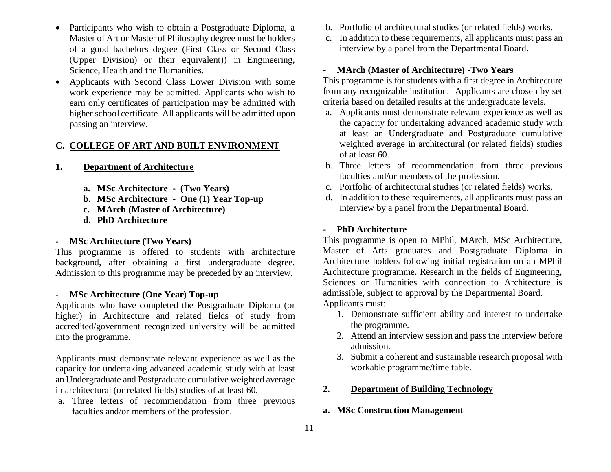- Participants who wish to obtain a Postgraduate Diploma, a Master of Art or Master of Philosophy degree must be holders of a good bachelors degree (First Class or Second Class (Upper Division) or their equivalent)) in Engineering, Science, Health and the Humanities.
- Applicants with Second Class Lower Division with some work experience may be admitted. Applicants who wish to earn only certificates of participation may be admitted with higher school certificate. All applicants will be admitted upon passing an interview.

# **C. COLLEGE OF ART AND BUILT ENVIRONMENT**

- **1. Department of Architecture**
	- **a. MSc Architecture (Two Years)**
	- **b. MSc Architecture One (1) Year Top-up**
	- **c. MArch (Master of Architecture)**
	- **d. PhD Architecture**

## **- MSc Architecture (Two Years)**

This programme is offered to students with architecture background, after obtaining a first undergraduate degree. Admission to this programme may be preceded by an interview.

## **- MSc Architecture (One Year) Top-up**

Applicants who have completed the Postgraduate Diploma (or higher) in Architecture and related fields of study from accredited/government recognized university will be admitted into the programme.

Applicants must demonstrate relevant experience as well as the capacity for undertaking advanced academic study with at least an Undergraduate and Postgraduate cumulative weighted average in architectural (or related fields) studies of at least 60.

a. Three letters of recommendation from three previous faculties and/or members of the profession.

- b. Portfolio of architectural studies (or related fields) works.
- c. In addition to these requirements, all applicants must pass an interview by a panel from the Departmental Board.

### **- MArch (Master of Architecture) -Two Years**

This programme is for students with a first degree in Architecture from any recognizable institution. Applicants are chosen by set criteria based on detailed results at the undergraduate levels.

- a. Applicants must demonstrate relevant experience as well as the capacity for undertaking advanced academic study with at least an Undergraduate and Postgraduate cumulative weighted average in architectural (or related fields) studies of at least 60.
- b. Three letters of recommendation from three previous faculties and/or members of the profession.
- c. Portfolio of architectural studies (or related fields) works.
- d. In addition to these requirements, all applicants must pass an interview by a panel from the Departmental Board.

### **- PhD Architecture**

This programme is open to MPhil, MArch, MSc Architecture, Master of Arts graduates and Postgraduate Diploma in Architecture holders following initial registration on an MPhil Architecture programme. Research in the fields of Engineering, Sciences or Humanities with connection to Architecture is admissible, subject to approval by the Departmental Board. Applicants must:

- 1. Demonstrate sufficient ability and interest to undertake the programme.
- 2. Attend an interview session and pass the interview before admission.
- 3. Submit a coherent and sustainable research proposal with workable programme/time table.

### **2. Department of Building Technology**

### **a. MSc Construction Management**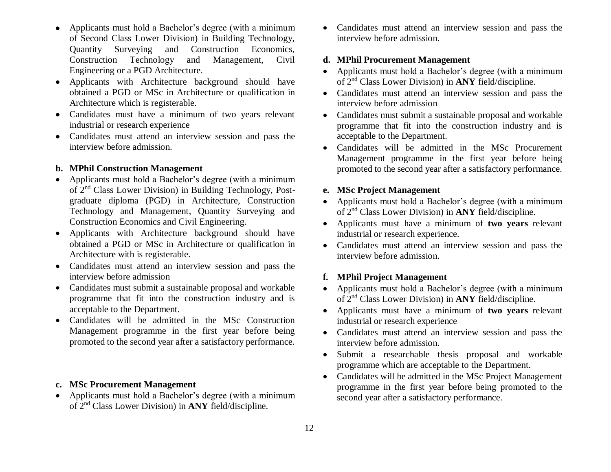- Applicants must hold a Bachelor's degree (with a minimum of Second Class Lower Division) in Building Technology, Quantity Surveying and Construction Economics, Construction Technology and Management, Civil Engineering or a PGD Architecture.
- Applicants with Architecture background should have obtained a PGD or MSc in Architecture or qualification in Architecture which is registerable.
- Candidates must have a minimum of two years relevant industrial or research experience
- Candidates must attend an interview session and pass the interview before admission.

## **b. MPhil Construction Management**

- Applicants must hold a Bachelor's degree (with a minimum of 2nd Class Lower Division) in Building Technology, Postgraduate diploma (PGD) in Architecture, Construction Technology and Management, Quantity Surveying and Construction Economics and Civil Engineering.
- Applicants with Architecture background should have obtained a PGD or MSc in Architecture or qualification in Architecture with is registerable.
- Candidates must attend an interview session and pass the interview before admission
- Candidates must submit a sustainable proposal and workable programme that fit into the construction industry and is acceptable to the Department.
- Candidates will be admitted in the MSc Construction Management programme in the first year before being promoted to the second year after a satisfactory performance.

### **c. MSc Procurement Management**

• Applicants must hold a Bachelor's degree (with a minimum of 2nd Class Lower Division) in **ANY** field/discipline.

 Candidates must attend an interview session and pass the interview before admission.

### **d. MPhil Procurement Management**

- Applicants must hold a Bachelor's degree (with a minimum of 2nd Class Lower Division) in **ANY** field/discipline.
- Candidates must attend an interview session and pass the interview before admission
- Candidates must submit a sustainable proposal and workable programme that fit into the construction industry and is acceptable to the Department.
- Candidates will be admitted in the MSc Procurement Management programme in the first year before being promoted to the second year after a satisfactory performance.

### **e. MSc Project Management**

- Applicants must hold a Bachelor's degree (with a minimum of 2nd Class Lower Division) in **ANY** field/discipline.
- Applicants must have a minimum of **two years** relevant industrial or research experience.
- Candidates must attend an interview session and pass the interview before admission.

## **f. MPhil Project Management**

- Applicants must hold a Bachelor's degree (with a minimum of 2nd Class Lower Division) in **ANY** field/discipline.
- Applicants must have a minimum of **two years** relevant industrial or research experience
- Candidates must attend an interview session and pass the interview before admission.
- Submit a researchable thesis proposal and workable programme which are acceptable to the Department.
- Candidates will be admitted in the MSc Project Management programme in the first year before being promoted to the second year after a satisfactory performance.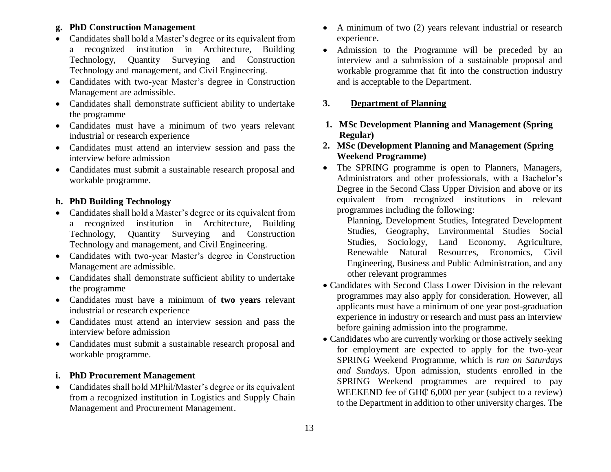# **g. PhD Construction Management**

- Candidates shall hold a Master's degree or its equivalent from a recognized institution in Architecture, Building Technology, Quantity Surveying and Construction Technology and management, and Civil Engineering.
- Candidates with two-year Master's degree in Construction Management are admissible.
- Candidates shall demonstrate sufficient ability to undertake the programme
- Candidates must have a minimum of two years relevant industrial or research experience
- Candidates must attend an interview session and pass the interview before admission
- Candidates must submit a sustainable research proposal and workable programme.

# **h. PhD Building Technology**

- Candidates shall hold a Master's degree or its equivalent from a recognized institution in Architecture, Building Technology, Quantity Surveying and Construction Technology and management, and Civil Engineering.
- Candidates with two-year Master's degree in Construction Management are admissible.
- Candidates shall demonstrate sufficient ability to undertake the programme
- Candidates must have a minimum of **two years** relevant industrial or research experience
- Candidates must attend an interview session and pass the interview before admission
- Candidates must submit a sustainable research proposal and workable programme.

# **i. PhD Procurement Management**

• Candidates shall hold MPhil/Master's degree or its equivalent from a recognized institution in Logistics and Supply Chain Management and Procurement Management.

- A minimum of two (2) years relevant industrial or research experience.
- Admission to the Programme will be preceded by an interview and a submission of a sustainable proposal and workable programme that fit into the construction industry and is acceptable to the Department.

## **3. Department of Planning**

- **1. MSc Development Planning and Management (Spring Regular)**
- **2. MSc (Development Planning and Management (Spring Weekend Programme)**
- The SPRING programme is open to Planners, Managers, Administrators and other professionals, with a Bachelor's Degree in the Second Class Upper Division and above or its equivalent from recognized institutions in relevant programmes including the following:
	- Planning, Development Studies, Integrated Development Studies, Geography, Environmental Studies Social Studies, Sociology, Land Economy, Agriculture, Renewable Natural Resources, Economics, Civil Engineering, Business and Public Administration, and any other relevant programmes
- Candidates with Second Class Lower Division in the relevant programmes may also apply for consideration. However, all applicants must have a minimum of one year post-graduation experience in industry or research and must pass an interview before gaining admission into the programme.
- Candidates who are currently working or those actively seeking for employment are expected to apply for the two-year SPRING Weekend Programme, which is *run on Saturdays and Sundays*. Upon admission, students enrolled in the SPRING Weekend programmes are required to pay WEEKEND fee of GH $\mathbb C$  6,000 per year (subject to a review) to the Department in addition to other university charges. The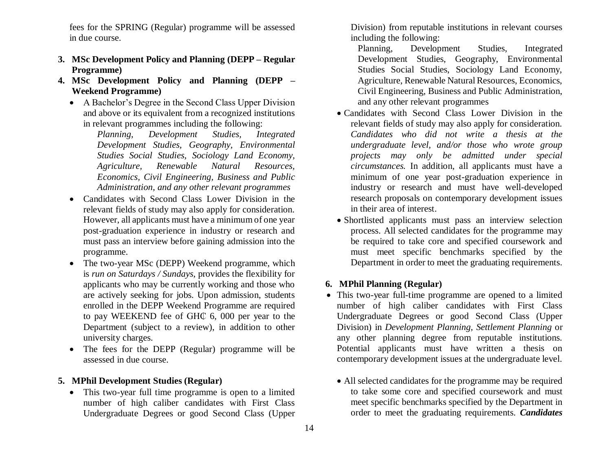fees for the SPRING (Regular) programme will be assessed in due course.

- **3. MSc Development Policy and Planning (DEPP – Regular Programme)**
- **4. MSc Development Policy and Planning (DEPP – Weekend Programme)**
	- A Bachelor's Degree in the Second Class Upper Division and above or its equivalent from a recognized institutions in relevant programmes including the following:

*Planning, Development Studies, Integrated Development Studies, Geography, Environmental Studies Social Studies, Sociology Land Economy, Agriculture, Renewable Natural Resources, Economics, Civil Engineering, Business and Public Administration, and any other relevant programmes*

- Candidates with Second Class Lower Division in the relevant fields of study may also apply for consideration. However, all applicants must have a minimum of one year post-graduation experience in industry or research and must pass an interview before gaining admission into the programme.
- The two-year MSc (DEPP) Weekend programme, which is *run on Saturdays / Sundays*, provides the flexibility for applicants who may be currently working and those who are actively seeking for jobs. Upon admission, students enrolled in the DEPP Weekend Programme are required to pay WEEKEND fee of GH₵ 6, 000 per year to the Department (subject to a review), in addition to other university charges.
- The fees for the DEPP (Regular) programme will be assessed in due course.

## **5. MPhil Development Studies (Regular)**

• This two-year full time programme is open to a limited number of high caliber candidates with First Class Undergraduate Degrees or good Second Class (Upper Division) from reputable institutions in relevant courses including the following:

Planning, Development Studies, Integrated Development Studies, Geography, Environmental Studies Social Studies, Sociology Land Economy, Agriculture, Renewable Natural Resources, Economics, Civil Engineering, Business and Public Administration, and any other relevant programmes

- Candidates with Second Class Lower Division in the relevant fields of study may also apply for consideration. *Candidates who did not write a thesis at the undergraduate level, and/or those who wrote group projects may only be admitted under special circumstances.* In addition, all applicants must have a minimum of one year post-graduation experience in industry or research and must have well-developed research proposals on contemporary development issues in their area of interest.
- Shortlisted applicants must pass an interview selection process. All selected candidates for the programme may be required to take core and specified coursework and must meet specific benchmarks specified by the Department in order to meet the graduating requirements.

# **6. MPhil Planning (Regular)**

- This two-year full-time programme are opened to a limited number of high caliber candidates with First Class Undergraduate Degrees or good Second Class (Upper Division) in *Development Planning, Settlement Planning* or any other planning degree from reputable institutions. Potential applicants must have written a thesis on contemporary development issues at the undergraduate level.
	- All selected candidates for the programme may be required to take some core and specified coursework and must meet specific benchmarks specified by the Department in order to meet the graduating requirements. *Candidates*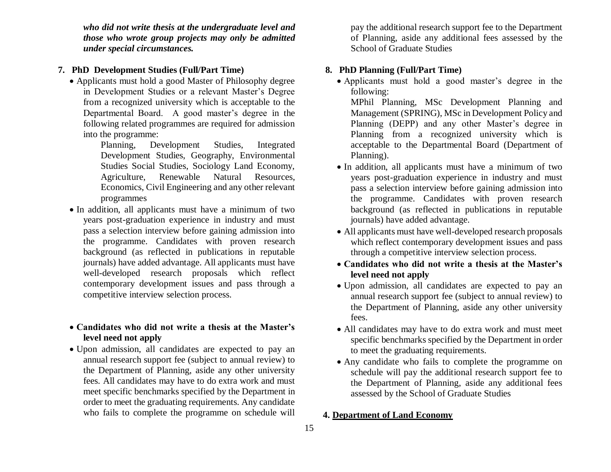*who did not write thesis at the undergraduate level and those who wrote group projects may only be admitted under special circumstances.*

## **7. PhD Development Studies (Full/Part Time)**

- Applicants must hold a good Master of Philosophy degree in Development Studies or a relevant Master's Degree from a recognized university which is acceptable to the Departmental Board. A good master's degree in the following related programmes are required for admission into the programme:
	- Planning, Development Studies, Integrated Development Studies, Geography, Environmental Studies Social Studies, Sociology Land Economy, Agriculture, Renewable Natural Resources, Economics, Civil Engineering and any other relevant programmes
- In addition, all applicants must have a minimum of two years post-graduation experience in industry and must pass a selection interview before gaining admission into the programme. Candidates with proven research background (as reflected in publications in reputable journals) have added advantage. All applicants must have well-developed research proposals which reflect contemporary development issues and pass through a competitive interview selection process.

# **Candidates who did not write a thesis at the Master's level need not apply**

 Upon admission, all candidates are expected to pay an annual research support fee (subject to annual review) to the Department of Planning, aside any other university fees. All candidates may have to do extra work and must meet specific benchmarks specified by the Department in order to meet the graduating requirements. Any candidate who fails to complete the programme on schedule will pay the additional research support fee to the Department of Planning, aside any additional fees assessed by the School of Graduate Studies

# **8. PhD Planning (Full/Part Time)**

 Applicants must hold a good master's degree in the following:

MPhil Planning, MSc Development Planning and Management (SPRING), MSc in Development Policy and Planning (DEPP) and any other Master's degree in Planning from a recognized university which is acceptable to the Departmental Board (Department of Planning).

- In addition, all applicants must have a minimum of two years post-graduation experience in industry and must pass a selection interview before gaining admission into the programme. Candidates with proven research background (as reflected in publications in reputable journals) have added advantage.
- All applicants must have well-developed research proposals which reflect contemporary development issues and pass through a competitive interview selection process.
- **Candidates who did not write a thesis at the Master's level need not apply**
- Upon admission, all candidates are expected to pay an annual research support fee (subject to annual review) to the Department of Planning, aside any other university fees.
- All candidates may have to do extra work and must meet specific benchmarks specified by the Department in order to meet the graduating requirements.
- Any candidate who fails to complete the programme on schedule will pay the additional research support fee to the Department of Planning, aside any additional fees assessed by the School of Graduate Studies

## **4. Department of Land Economy**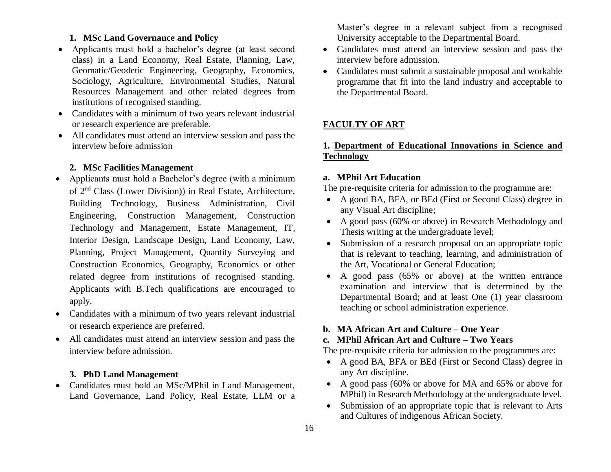## **1. MSc Land Governance and Policy**

- Applicants must hold a bachelor's degree (at least second class) in a Land Economy, Real Estate, Planning, Law, Geomatic/Geodetic Engineering, Geography, Economics, Sociology, Agriculture, Environmental Studies, Natural Resources Management and other related degrees from institutions of recognised standing.
- Candidates with a minimum of two years relevant industrial or research experience are preferable.
- All candidates must attend an interview session and pass the interview before admission

# **2. MSc Facilities Management**

- Applicants must hold a Bachelor's degree (with a minimum of 2nd Class (Lower Division)) in Real Estate, Architecture, Building Technology, Business Administration, Civil Engineering, Construction Management, Construction Technology and Management, Estate Management, IT, Interior Design, Landscape Design, Land Economy, Law, Planning, Project Management, Quantity Surveying and Construction Economics, Geography, Economics or other related degree from institutions of recognised standing. Applicants with B.Tech qualifications are encouraged to apply.
- Candidates with a minimum of two years relevant industrial or research experience are preferred.
- All candidates must attend an interview session and pass the interview before admission.

### **3. PhD Land Management**

• Candidates must hold an MSc/MPhil in Land Management, Land Governance, Land Policy, Real Estate, LLM or a Master's degree in a relevant subject from a recognised University acceptable to the Departmental Board.

- Candidates must attend an interview session and pass the interview before admission.
- Candidates must submit a sustainable proposal and workable programme that fit into the land industry and acceptable to the Departmental Board.

## **FACULTY OF ART**

# **1. Department of Educational Innovations in Science and Technology**

### **a. MPhil Art Education**

The pre-requisite criteria for admission to the programme are:

- A good BA, BFA, or BEd (First or Second Class) degree in any Visual Art discipline;
- A good pass (60% or above) in Research Methodology and Thesis writing at the undergraduate level;
- Submission of a research proposal on an appropriate topic that is relevant to teaching, learning, and administration of the Art, Vocational or General Education;
- A good pass (65% or above) at the written entrance examination and interview that is determined by the Departmental Board; and at least One (1) year classroom teaching or school administration experience.

### **b. MA African Art and Culture – One Year**

# **c. MPhil African Art and Culture – Two Years**

The pre-requisite criteria for admission to the programmes are:

- A good BA, BFA or BEd (First or Second Class) degree in any Art discipline.
- A good pass (60% or above for MA and 65% or above for MPhil) in Research Methodology at the undergraduate level.
- Submission of an appropriate topic that is relevant to Arts and Cultures of indigenous African Society.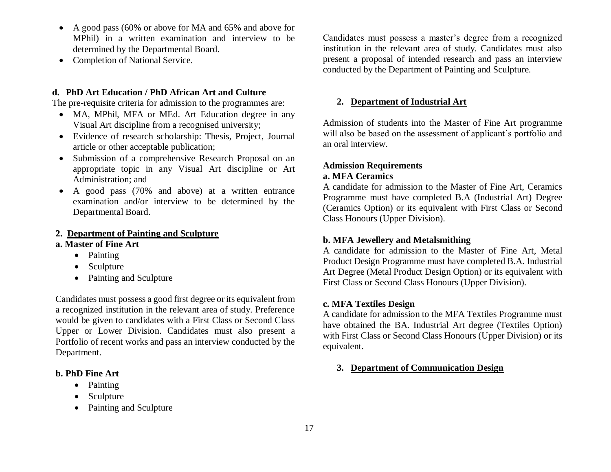- A good pass (60% or above for MA and 65% and above for MPhil) in a written examination and interview to be determined by the Departmental Board.
- Completion of National Service.

## **d. PhD Art Education / PhD African Art and Culture**

The pre-requisite criteria for admission to the programmes are:

- MA, MPhil, MFA or MEd. Art Education degree in any Visual Art discipline from a recognised university;
- Evidence of research scholarship: Thesis, Project, Journal article or other acceptable publication;
- Submission of a comprehensive Research Proposal on an appropriate topic in any Visual Art discipline or Art Administration; and
- A good pass (70% and above) at a written entrance examination and/or interview to be determined by the Departmental Board.

## **2. Department of Painting and Sculpture**

### **a. Master of Fine Art**

- Painting
- Sculpture
- Painting and Sculpture

Candidates must possess a good first degree or its equivalent from a recognized institution in the relevant area of study. Preference would be given to candidates with a First Class or Second Class Upper or Lower Division. Candidates must also present a Portfolio of recent works and pass an interview conducted by the Department.

# **b. PhD Fine Art**

- Painting
- Sculpture
- Painting and Sculpture

Candidates must possess a master's degree from a recognized institution in the relevant area of study. Candidates must also present a proposal of intended research and pass an interview conducted by the Department of Painting and Sculpture.

## **2. Department of Industrial Art**

Admission of students into the Master of Fine Art programme will also be based on the assessment of applicant's portfolio and an oral interview.

## **Admission Requirements a. MFA Ceramics**

A candidate for admission to the Master of Fine Art, Ceramics Programme must have completed B.A (Industrial Art) Degree (Ceramics Option) or its equivalent with First Class or Second Class Honours (Upper Division).

# **b. MFA Jewellery and Metalsmithing**

A candidate for admission to the Master of Fine Art, Metal Product Design Programme must have completed B.A. Industrial Art Degree (Metal Product Design Option) or its equivalent with First Class or Second Class Honours (Upper Division).

## **c. MFA Textiles Design**

A candidate for admission to the MFA Textiles Programme must have obtained the BA. Industrial Art degree (Textiles Option) with First Class or Second Class Honours (Upper Division) or its equivalent.

## **3. Department of Communication Design**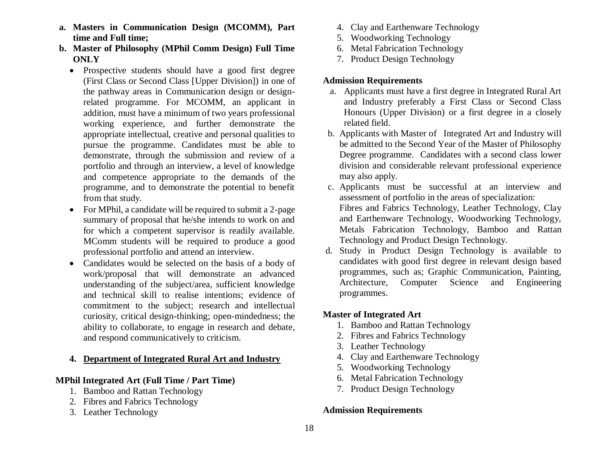- **a. Masters in Communication Design (MCOMM), Part time and Full time;**
- **b. Master of Philosophy (MPhil Comm Design) Full Time ONLY**
	- Prospective students should have a good first degree (First Class or Second Class [Upper Division]) in one of the pathway areas in Communication design or designrelated programme. For MCOMM, an applicant in addition, must have a minimum of two years professional working experience, and further demonstrate the appropriate intellectual, creative and personal qualities to pursue the programme. Candidates must be able to demonstrate, through the submission and review of a portfolio and through an interview, a level of knowledge and competence appropriate to the demands of the programme, and to demonstrate the potential to benefit from that study.
	- For MPhil, a candidate will be required to submit a 2-page summary of proposal that he/she intends to work on and for which a competent supervisor is readily available. MComm students will be required to produce a good professional portfolio and attend an interview.
	- Candidates would be selected on the basis of a body of work/proposal that will demonstrate an advanced understanding of the subject/area, sufficient knowledge and technical skill to realise intentions; evidence of commitment to the subject; research and intellectual curiosity, critical design-thinking; open-mindedness; the ability to collaborate, to engage in research and debate, and respond communicatively to criticism.

## **4. Department of Integrated Rural Art and Industry**

## **MPhil Integrated Art (Full Time / Part Time)**

- 1. Bamboo and Rattan Technology
- 2. Fibres and Fabrics Technology
- 3. Leather Technology
- 4. Clay and Earthenware Technology
- 5. Woodworking Technology
- 6. Metal Fabrication Technology
- 7. Product Design Technology

## **Admission Requirements**

- a. Applicants must have a first degree in Integrated Rural Art and Industry preferably a First Class or Second Class Honours (Upper Division) or a first degree in a closely related field.
- b. Applicants with Master of Integrated Art and Industry will be admitted to the Second Year of the Master of Philosophy Degree programme. Candidates with a second class lower division and considerable relevant professional experience may also apply.
- c. Applicants must be successful at an interview and assessment of portfolio in the areas of specialization: Fibres and Fabrics Technology, Leather Technology, Clay and Earthenware Technology, Woodworking Technology, Metals Fabrication Technology, Bamboo and Rattan Technology and Product Design Technology.
- d. Study in Product Design Technology is available to candidates with good first degree in relevant design based programmes, such as; Graphic Communication, Painting, Architecture, Computer Science and Engineering programmes.

# **Master of Integrated Art**

- 1. Bamboo and Rattan Technology
- 2. Fibres and Fabrics Technology
- 3. Leather Technology
- 4. Clay and Earthenware Technology
- 5. Woodworking Technology
- 6. Metal Fabrication Technology
- 7. Product Design Technology

# **Admission Requirements**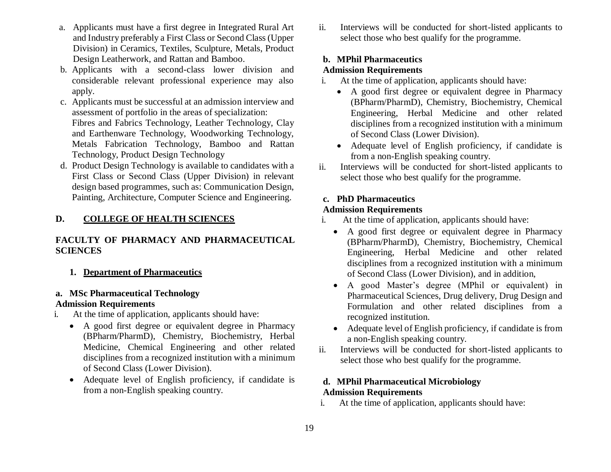- a. Applicants must have a first degree in Integrated Rural Art and Industry preferably a First Class or Second Class (Upper Division) in Ceramics, Textiles, Sculpture, Metals, Product Design Leatherwork, and Rattan and Bamboo.
- b. Applicants with a second-class lower division and considerable relevant professional experience may also apply.
- c. Applicants must be successful at an admission interview and assessment of portfolio in the areas of specialization: Fibres and Fabrics Technology, Leather Technology, Clay and Earthenware Technology, Woodworking Technology, Metals Fabrication Technology, Bamboo and Rattan Technology, Product Design Technology
- d. Product Design Technology is available to candidates with a First Class or Second Class (Upper Division) in relevant design based programmes, such as: Communication Design, Painting, Architecture, Computer Science and Engineering.

# **D. COLLEGE OF HEALTH SCIENCES**

# **FACULTY OF PHARMACY AND PHARMACEUTICAL SCIENCES**

**1. Department of Pharmaceutics**

### **a. MSc Pharmaceutical Technology Admission Requirements**

- i. At the time of application, applicants should have:
	- A good first degree or equivalent degree in Pharmacy (BPharm/PharmD), Chemistry, Biochemistry, Herbal Medicine, Chemical Engineering and other related disciplines from a recognized institution with a minimum of Second Class (Lower Division).
	- Adequate level of English proficiency, if candidate is from a non-English speaking country.

ii. Interviews will be conducted for short-listed applicants to select those who best qualify for the programme.

# **b. MPhil Pharmaceutics**

# **Admission Requirements**

- i. At the time of application, applicants should have:
	- A good first degree or equivalent degree in Pharmacy (BPharm/PharmD), Chemistry, Biochemistry, Chemical Engineering, Herbal Medicine and other related disciplines from a recognized institution with a minimum of Second Class (Lower Division).
	- Adequate level of English proficiency, if candidate is from a non-English speaking country.
- ii. Interviews will be conducted for short-listed applicants to select those who best qualify for the programme.

# **c. PhD Pharmaceutics**

## **Admission Requirements**

- i. At the time of application, applicants should have:
	- A good first degree or equivalent degree in Pharmacy (BPharm/PharmD), Chemistry, Biochemistry, Chemical Engineering, Herbal Medicine and other related disciplines from a recognized institution with a minimum of Second Class (Lower Division), and in addition,
	- A good Master's degree (MPhil or equivalent) in Pharmaceutical Sciences, Drug delivery, Drug Design and Formulation and other related disciplines from a recognized institution.
	- Adequate level of English proficiency, if candidate is from a non-English speaking country.
- ii. Interviews will be conducted for short-listed applicants to select those who best qualify for the programme.

# **d. MPhil Pharmaceutical Microbiology Admission Requirements**

i. At the time of application, applicants should have: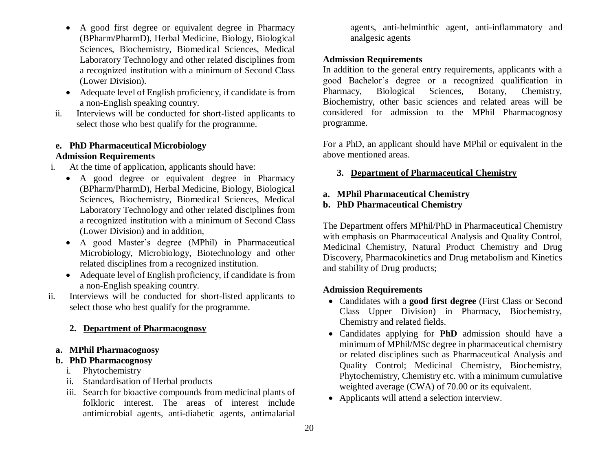- A good first degree or equivalent degree in Pharmacy (BPharm/PharmD), Herbal Medicine, Biology, Biological Sciences, Biochemistry, Biomedical Sciences, Medical Laboratory Technology and other related disciplines from a recognized institution with a minimum of Second Class (Lower Division).
- Adequate level of English proficiency, if candidate is from a non-English speaking country.
- ii. Interviews will be conducted for short-listed applicants to select those who best qualify for the programme.

# **e. PhD Pharmaceutical Microbiology**

# **Admission Requirements**

- i. At the time of application, applicants should have:
	- A good degree or equivalent degree in Pharmacy (BPharm/PharmD), Herbal Medicine, Biology, Biological Sciences, Biochemistry, Biomedical Sciences, Medical Laboratory Technology and other related disciplines from a recognized institution with a minimum of Second Class (Lower Division) and in addition,
	- A good Master's degree (MPhil) in Pharmaceutical Microbiology, Microbiology, Biotechnology and other related disciplines from a recognized institution.
	- Adequate level of English proficiency, if candidate is from a non-English speaking country.
- ii. Interviews will be conducted for short-listed applicants to select those who best qualify for the programme.

# **2. Department of Pharmacognosy**

**a. MPhil Pharmacognosy** 

# **b. PhD Pharmacognosy**

- i. Phytochemistry
- ii. Standardisation of Herbal products
- iii. Search for bioactive compounds from medicinal plants of folkloric interest. The areas of interest include antimicrobial agents, anti-diabetic agents, antimalarial

agents, anti-helminthic agent, anti-inflammatory and analgesic agents

# **Admission Requirements**

In addition to the general entry requirements, applicants with a good Bachelor's degree or a recognized qualification in Pharmacy, Biological Sciences, Botany, Chemistry, Biochemistry, other basic sciences and related areas will be considered for admission to the MPhil Pharmacognosy programme.

For a PhD, an applicant should have MPhil or equivalent in the above mentioned areas.

# **3. Department of Pharmaceutical Chemistry**

# **a. MPhil Pharmaceutical Chemistry**

# **b. PhD Pharmaceutical Chemistry**

The Department offers MPhil/PhD in Pharmaceutical Chemistry with emphasis on Pharmaceutical Analysis and Quality Control, Medicinal Chemistry, Natural Product Chemistry and Drug Discovery, Pharmacokinetics and Drug metabolism and Kinetics and stability of Drug products;

# **Admission Requirements**

- Candidates with a **good first degree** (First Class or Second Class Upper Division) in Pharmacy, Biochemistry, Chemistry and related fields.
- Candidates applying for **PhD** admission should have a minimum of MPhil/MSc degree in pharmaceutical chemistry or related disciplines such as Pharmaceutical Analysis and Quality Control; Medicinal Chemistry, Biochemistry, Phytochemistry, Chemistry etc. with a minimum cumulative weighted average (CWA) of 70.00 or its equivalent.
- Applicants will attend a selection interview.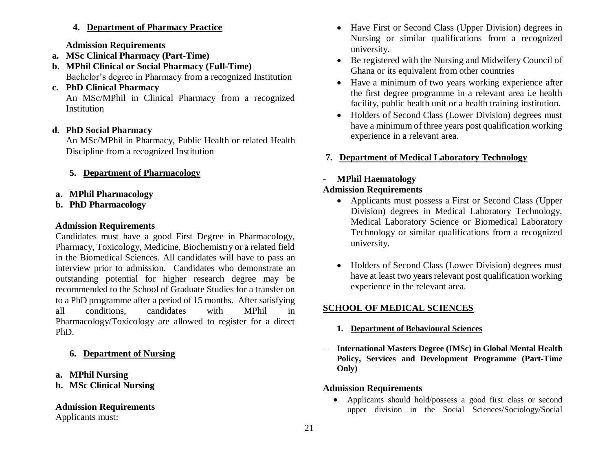# **4. Department of Pharmacy Practice**

## **Admission Requirements**

- **a. MSc Clinical Pharmacy (Part-Time)**
- **b. MPhil Clinical or Social Pharmacy (Full-Time)** Bachelor's degree in Pharmacy from a recognized Institution
- **c. PhD Clinical Pharmacy**

An MSc/MPhil in Clinical Pharmacy from a recognized **Institution** 

# **d. PhD Social Pharmacy**

An MSc/MPhil in Pharmacy, Public Health or related Health Discipline from a recognized Institution

- **5. Department of Pharmacology**
- **a. MPhil Pharmacology**
- **b. PhD Pharmacology**

## **Admission Requirements**

Candidates must have a good First Degree in Pharmacology, Pharmacy, Toxicology, Medicine, Biochemistry or a related field in the Biomedical Sciences. All candidates will have to pass an interview prior to admission. Candidates who demonstrate an outstanding potential for higher research degree may be recommended to the School of Graduate Studies for a transfer on to a PhD programme after a period of 15 months. After satisfying all conditions, candidates with MPhil in Pharmacology/Toxicology are allowed to register for a direct PhD.

# **6. Department of Nursing**

# **a. MPhil Nursing**

# **b. MSc Clinical Nursing**

# **Admission Requirements**

Applicants must:

- Have First or Second Class (Upper Division) degrees in Nursing or similar qualifications from a recognized university.
- Be registered with the Nursing and Midwifery Council of Ghana or its equivalent from other countries
- Have a minimum of two years working experience after the first degree programme in a relevant area i.e health facility, public health unit or a health training institution.
- Holders of Second Class (Lower Division) degrees must have a minimum of three years post qualification working experience in a relevant area.

# **7. Department of Medical Laboratory Technology**

# **- MPhil Haematology**

# **Admission Requirements**

- Applicants must possess a First or Second Class (Upper Division) degrees in Medical Laboratory Technology, Medical Laboratory Science or Biomedical Laboratory Technology or similar qualifications from a recognized university.
- Holders of Second Class (Lower Division) degrees must have at least two years relevant post qualification working experience in the relevant area.

# **SCHOOL OF MEDICAL SCIENCES**

- **1. Department of Behavioural Sciences**
- **International Masters Degree (IMSc) in Global Mental Health Policy, Services and Development Programme (Part-Time Only)**

# **Admission Requirements**

 Applicants should hold/possess a good first class or second upper division in the Social Sciences/Sociology/Social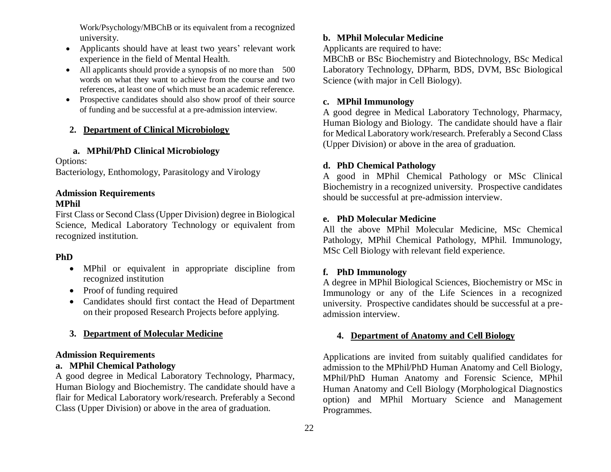Work/Psychology/MBChB or its equivalent from a recognized university.

- Applicants should have at least two years' relevant work experience in the field of Mental Health.
- All applicants should provide a synopsis of no more than 500 words on what they want to achieve from the course and two references, at least one of which must be an academic reference.
- Prospective candidates should also show proof of their source of funding and be successful at a pre-admission interview.

# **2. Department of Clinical Microbiology**

# **a. MPhil/PhD Clinical Microbiology**

Options:

Bacteriology, Enthomology, Parasitology and Virology

### **Admission Requirements MPhil**

# First Class or Second Class (Upper Division) degree in Biological Science, Medical Laboratory Technology or equivalent from recognized institution.

# **PhD**

- MPhil or equivalent in appropriate discipline from recognized institution
- Proof of funding required
- Candidates should first contact the Head of Department on their proposed Research Projects before applying.

# **3. Department of Molecular Medicine**

# **Admission Requirements**

# **a. MPhil Chemical Pathology**

A good degree in Medical Laboratory Technology, Pharmacy, Human Biology and Biochemistry. The candidate should have a flair for Medical Laboratory work/research. Preferably a Second Class (Upper Division) or above in the area of graduation.

# **b. MPhil Molecular Medicine**

Applicants are required to have:

MBChB or BSc Biochemistry and Biotechnology, BSc Medical Laboratory Technology, DPharm, BDS, DVM, BSc Biological Science (with major in Cell Biology).

# **c. MPhil Immunology**

A good degree in Medical Laboratory Technology, Pharmacy, Human Biology and Biology. The candidate should have a flair for Medical Laboratory work/research. Preferably a Second Class (Upper Division) or above in the area of graduation.

# **d. PhD Chemical Pathology**

A good in MPhil Chemical Pathology or MSc Clinical Biochemistry in a recognized university. Prospective candidates should be successful at pre-admission interview.

# **e. PhD Molecular Medicine**

All the above MPhil Molecular Medicine, MSc Chemical Pathology, MPhil Chemical Pathology, MPhil. Immunology, MSc Cell Biology with relevant field experience.

# **f. PhD Immunology**

A degree in MPhil Biological Sciences, Biochemistry or MSc in Immunology or any of the Life Sciences in a recognized university. Prospective candidates should be successful at a preadmission interview.

# **4. Department of Anatomy and Cell Biology**

Applications are invited from suitably qualified candidates for admission to the MPhil/PhD Human Anatomy and Cell Biology, MPhil/PhD Human Anatomy and Forensic Science, MPhil Human Anatomy and Cell Biology (Morphological Diagnostics option) and MPhil Mortuary Science and Management Programmes.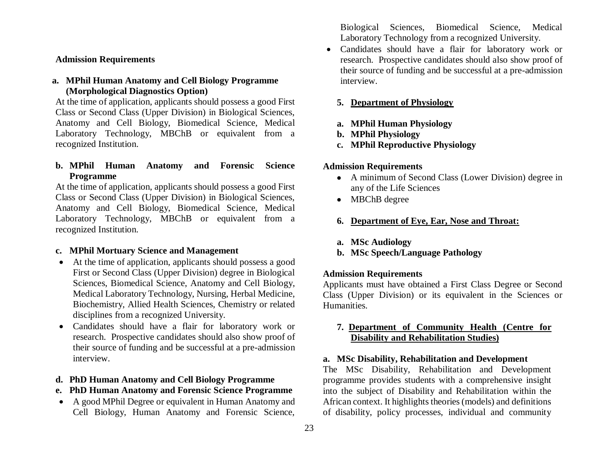### **Admission Requirements**

## **a. MPhil Human Anatomy and Cell Biology Programme (Morphological Diagnostics Option)**

At the time of application, applicants should possess a good First Class or Second Class (Upper Division) in Biological Sciences, Anatomy and Cell Biology, Biomedical Science, Medical Laboratory Technology, MBChB or equivalent from a recognized Institution.

# **b. MPhil Human Anatomy and Forensic Science Programme**

At the time of application, applicants should possess a good First Class or Second Class (Upper Division) in Biological Sciences, Anatomy and Cell Biology, Biomedical Science, Medical Laboratory Technology, MBChB or equivalent from a recognized Institution.

### **c. MPhil Mortuary Science and Management**

- At the time of application, applicants should possess a good First or Second Class (Upper Division) degree in Biological Sciences, Biomedical Science, Anatomy and Cell Biology, Medical Laboratory Technology, Nursing, Herbal Medicine, Biochemistry, Allied Health Sciences, Chemistry or related disciplines from a recognized University.
- Candidates should have a flair for laboratory work or research. Prospective candidates should also show proof of their source of funding and be successful at a pre-admission interview.

### **d. PhD Human Anatomy and Cell Biology Programme**

- **e. PhD Human Anatomy and Forensic Science Programme**
- A good MPhil Degree or equivalent in Human Anatomy and Cell Biology, Human Anatomy and Forensic Science,

Biological Sciences, Biomedical Science, Medical Laboratory Technology from a recognized University.

 Candidates should have a flair for laboratory work or research. Prospective candidates should also show proof of their source of funding and be successful at a pre-admission interview.

## **5. Department of Physiology**

- **a. MPhil Human Physiology**
- **b. MPhil Physiology**
- **c. MPhil Reproductive Physiology**

## **Admission Requirements**

- A minimum of Second Class (Lower Division) degree in any of the Life Sciences
- MBChB degree
- **6. Department of Eye, Ear, Nose and Throat:**
- **a. MSc Audiology**
- **b. MSc Speech/Language Pathology**

### **Admission Requirements**

Applicants must have obtained a First Class Degree or Second Class (Upper Division) or its equivalent in the Sciences or Humanities.

## **7. Department of Community Health (Centre for Disability and Rehabilitation Studies)**

### **a. MSc Disability, Rehabilitation and Development**

The MSc Disability, Rehabilitation and Development programme provides students with a comprehensive insight into the subject of Disability and Rehabilitation within the African context. It highlights theories (models) and definitions of disability, policy processes, individual and community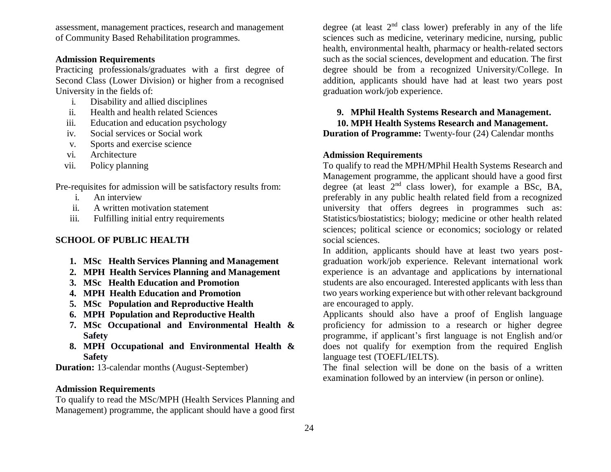assessment, management practices, research and management of Community Based Rehabilitation programmes.

# **Admission Requirements**

Practicing professionals/graduates with a first degree of Second Class (Lower Division) or higher from a recognised University in the fields of:

- i. Disability and allied disciplines
- ii. Health and health related Sciences
- iii. Education and education psychology
- iv. Social services or Social work
- v. Sports and exercise science
- vi. Architecture
- vii. Policy planning

Pre-requisites for admission will be satisfactory results from:

- i. An interview
- ii. A written motivation statement
- iii. Fulfilling initial entry requirements

## **SCHOOL OF PUBLIC HEALTH**

- **1. MSc Health Services Planning and Management**
- **2. MPH Health Services Planning and Management**
- **3. MSc Health Education and Promotion**
- **4. MPH Health Education and Promotion**
- **5. MSc Population and Reproductive Health**
- **6. MPH Population and Reproductive Health**
- **7. MSc Occupational and Environmental Health & Safety**
- **8. MPH Occupational and Environmental Health & Safety**

**Duration:** 13-calendar months (August-September)

### **Admission Requirements**

To qualify to read the MSc/MPH (Health Services Planning and Management) programme, the applicant should have a good first degree (at least  $2<sup>nd</sup>$  class lower) preferably in any of the life sciences such as medicine, veterinary medicine, nursing, public health, environmental health, pharmacy or health-related sectors such as the social sciences, development and education. The first degree should be from a recognized University/College. In addition, applicants should have had at least two years post graduation work/job experience.

## **9. MPhil Health Systems Research and Management.**

**10. MPH Health Systems Research and Management.** 

**Duration of Programme:** Twenty-four (24) Calendar months

### **Admission Requirements**

To qualify to read the MPH/MPhil Health Systems Research and Management programme, the applicant should have a good first degree (at least  $2<sup>nd</sup>$  class lower), for example a BSc, BA, preferably in any public health related field from a recognized university that offers degrees in programmes such as: Statistics/biostatistics; biology; medicine or other health related sciences; political science or economics; sociology or related social sciences.

In addition, applicants should have at least two years postgraduation work/job experience. Relevant international work experience is an advantage and applications by international students are also encouraged. Interested applicants with less than two years working experience but with other relevant background are encouraged to apply.

Applicants should also have a proof of English language proficiency for admission to a research or higher degree programme, if applicant's first language is not English and/or does not qualify for exemption from the required English language test (TOEFL/IELTS).

The final selection will be done on the basis of a written examination followed by an interview (in person or online).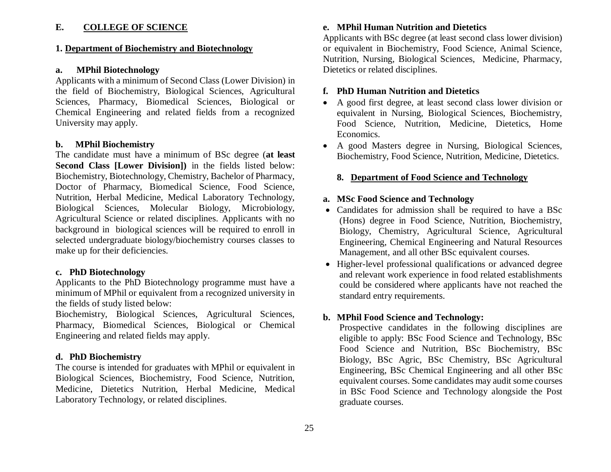### **E. COLLEGE OF SCIENCE**

### **1. Department of Biochemistry and Biotechnology**

### **a. MPhil Biotechnology**

Applicants with a minimum of Second Class (Lower Division) in the field of Biochemistry, Biological Sciences, Agricultural Sciences, Pharmacy, Biomedical Sciences, Biological or Chemical Engineering and related fields from a recognized University may apply.

### **b. MPhil Biochemistry**

The candidate must have a minimum of BSc degree (**at least Second Class [Lower Division])** in the fields listed below: Biochemistry, Biotechnology, Chemistry, Bachelor of Pharmacy, Doctor of Pharmacy, Biomedical Science, Food Science, Nutrition, Herbal Medicine, Medical Laboratory Technology, Biological Sciences, Molecular Biology, Microbiology, Agricultural Science or related disciplines. Applicants with no background in biological sciences will be required to enroll in selected undergraduate biology/biochemistry courses classes to make up for their deficiencies.

### **c. PhD Biotechnology**

Applicants to the PhD Biotechnology programme must have a minimum of MPhil or equivalent from a recognized university in the fields of study listed below:

Biochemistry, Biological Sciences, Agricultural Sciences, Pharmacy, Biomedical Sciences, Biological or Chemical Engineering and related fields may apply.

### **d. PhD Biochemistry**

The course is intended for graduates with MPhil or equivalent in Biological Sciences, Biochemistry, Food Science, Nutrition, Medicine, Dietetics Nutrition, Herbal Medicine, Medical Laboratory Technology, or related disciplines.

### **e. MPhil Human Nutrition and Dietetics**

Applicants with BSc degree (at least second class lower division) or equivalent in Biochemistry, Food Science, Animal Science, Nutrition, Nursing, Biological Sciences, Medicine, Pharmacy, Dietetics or related disciplines.

### **f. PhD Human Nutrition and Dietetics**

- A good first degree, at least second class lower division or equivalent in Nursing, Biological Sciences, Biochemistry, Food Science, Nutrition, Medicine, Dietetics, Home Economics.
- A good Masters degree in Nursing, Biological Sciences, Biochemistry, Food Science, Nutrition, Medicine, Dietetics.

### **8. Department of Food Science and Technology**

### **a. MSc Food Science and Technology**

- Candidates for admission shall be required to have a BSc (Hons) degree in Food Science, Nutrition, Biochemistry, Biology, Chemistry, Agricultural Science, Agricultural Engineering, Chemical Engineering and Natural Resources Management, and all other BSc equivalent courses.
- Higher-level professional qualifications or advanced degree and relevant work experience in food related establishments could be considered where applicants have not reached the standard entry requirements.

# **b. MPhil Food Science and Technology:**

Prospective candidates in the following disciplines are eligible to apply: BSc Food Science and Technology, BSc Food Science and Nutrition, BSc Biochemistry, BSc Biology, BSc Agric, BSc Chemistry, BSc Agricultural Engineering, BSc Chemical Engineering and all other BSc equivalent courses. Some candidates may audit some courses in BSc Food Science and Technology alongside the Post graduate courses.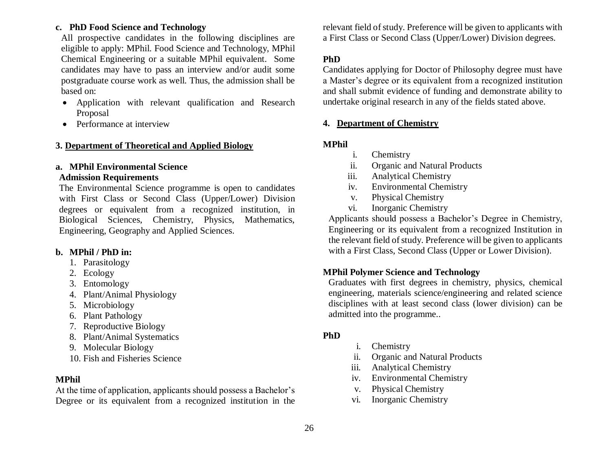# **c. PhD Food Science and Technology**

All prospective candidates in the following disciplines are eligible to apply: MPhil. Food Science and Technology, MPhil Chemical Engineering or a suitable MPhil equivalent. Some candidates may have to pass an interview and/or audit some postgraduate course work as well. Thus, the admission shall be based on:

- Application with relevant qualification and Research Proposal
- Performance at interview

## **3. Department of Theoretical and Applied Biology**

# **a. MPhil Environmental Science**

# **Admission Requirements**

The Environmental Science programme is open to candidates with First Class or Second Class (Upper/Lower) Division degrees or equivalent from a recognized institution, in Biological Sciences, Chemistry, Physics, Mathematics, Engineering, Geography and Applied Sciences.

# **b. MPhil / PhD in:**

- 1. Parasitology
- 2. Ecology
- 3. Entomology
- 4. Plant/Animal Physiology
- 5. Microbiology
- 6. Plant Pathology
- 7. Reproductive Biology
- 8. Plant/Animal Systematics
- 9. Molecular Biology
- 10. Fish and Fisheries Science

# **MPhil**

At the time of application, applicants should possess a Bachelor's Degree or its equivalent from a recognized institution in the relevant field of study. Preference will be given to applicants with a First Class or Second Class (Upper/Lower) Division degrees.

# **PhD**

Candidates applying for Doctor of Philosophy degree must have a Master's degree or its equivalent from a recognized institution and shall submit evidence of funding and demonstrate ability to undertake original research in any of the fields stated above.

# **4. Department of Chemistry**

# **MPhil**

- i. Chemistry
- ii. Organic and Natural Products
- iii. Analytical Chemistry
- iv. Environmental Chemistry
- v. Physical Chemistry
- vi. Inorganic Chemistry

Applicants should possess a Bachelor's Degree in Chemistry, Engineering or its equivalent from a recognized Institution in the relevant field of study. Preference will be given to applicants with a First Class, Second Class (Upper or Lower Division).

# **MPhil Polymer Science and Technology**

Graduates with first degrees in chemistry, physics, chemical engineering, materials science/engineering and related science disciplines with at least second class (lower division) can be admitted into the programme..

# **PhD**

- i. Chemistry
- ii. Organic and Natural Products
- iii. Analytical Chemistry
- iv. Environmental Chemistry
- v. Physical Chemistry
- vi. Inorganic Chemistry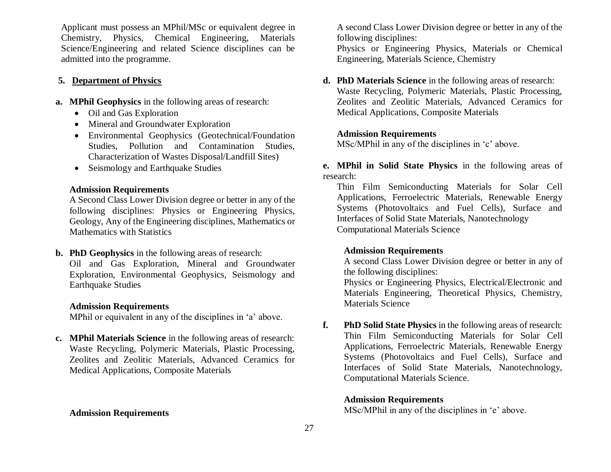Applicant must possess an MPhil/MSc or equivalent degree in Chemistry, Physics, Chemical Engineering, Materials Science/Engineering and related Science disciplines can be admitted into the programme.

## **5. Department of Physics**

- **a. MPhil Geophysics** in the following areas of research:
	- Oil and Gas Exploration
	- Mineral and Groundwater Exploration
	- Environmental Geophysics (Geotechnical/Foundation Studies, Pollution and Contamination Studies, Characterization of Wastes Disposal/Landfill Sites)
	- Seismology and Earthquake Studies

## **Admission Requirements**

A Second Class Lower Division degree or better in any of the following disciplines: Physics or Engineering Physics, Geology, Any of the Engineering disciplines, Mathematics or Mathematics with Statistics

**b. PhD Geophysics** in the following areas of research: Oil and Gas Exploration, Mineral and Groundwater Exploration, Environmental Geophysics, Seismology and Earthquake Studies

### **Admission Requirements**

MPhil or equivalent in any of the disciplines in 'a' above.

**c. MPhil Materials Science** in the following areas of research: Waste Recycling, Polymeric Materials, Plastic Processing, Zeolites and Zeolitic Materials, Advanced Ceramics for Medical Applications, Composite Materials

### **Admission Requirements**

A second Class Lower Division degree or better in any of the following disciplines:

Physics or Engineering Physics, Materials or Chemical Engineering, Materials Science, Chemistry

**d. PhD Materials Science** in the following areas of research: Waste Recycling, Polymeric Materials, Plastic Processing, Zeolites and Zeolitic Materials, Advanced Ceramics for Medical Applications, Composite Materials

### **Admission Requirements**

MSc/MPhil in any of the disciplines in 'c' above.

**e. MPhil in Solid State Physics** in the following areas of research:

Thin Film Semiconducting Materials for Solar Cell Applications, Ferroelectric Materials, Renewable Energy Systems (Photovoltaics and Fuel Cells), Surface and Interfaces of Solid State Materials, Nanotechnology Computational Materials Science

## **Admission Requirements**

A second Class Lower Division degree or better in any of the following disciplines:

Physics or Engineering Physics, Electrical/Electronic and Materials Engineering, Theoretical Physics, Chemistry, Materials Science

**f. PhD Solid State Physics** in the following areas of research: Thin Film Semiconducting Materials for Solar Cell Applications, Ferroelectric Materials, Renewable Energy Systems (Photovoltaics and Fuel Cells), Surface and Interfaces of Solid State Materials, Nanotechnology, Computational Materials Science.

### **Admission Requirements**

MSc/MPhil in any of the disciplines in 'e' above.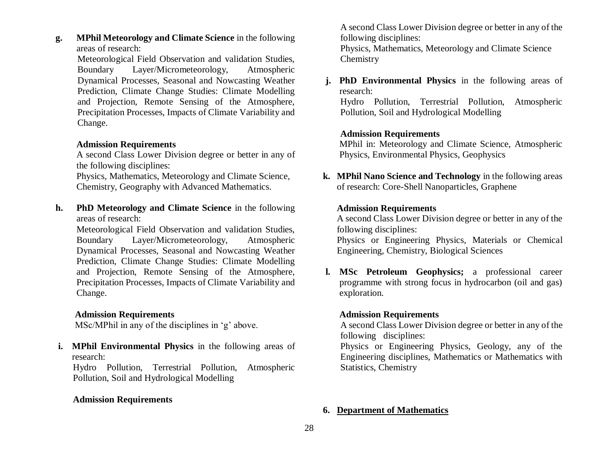**g. MPhil Meteorology and Climate Science** in the following areas of research:

Meteorological Field Observation and validation Studies, Boundary Layer/Micrometeorology, Atmospheric Dynamical Processes, Seasonal and Nowcasting Weather Prediction, Climate Change Studies: Climate Modelling and Projection, Remote Sensing of the Atmosphere, Precipitation Processes, Impacts of Climate Variability and Change.

### **Admission Requirements**

A second Class Lower Division degree or better in any of the following disciplines:

Physics, Mathematics, Meteorology and Climate Science, Chemistry, Geography with Advanced Mathematics.

**h. PhD Meteorology and Climate Science** in the following areas of research:

Meteorological Field Observation and validation Studies, Boundary Layer/Micrometeorology, Atmospheric Dynamical Processes, Seasonal and Nowcasting Weather Prediction, Climate Change Studies: Climate Modelling and Projection, Remote Sensing of the Atmosphere, Precipitation Processes, Impacts of Climate Variability and Change.

## **Admission Requirements**

MSc/MPhil in any of the disciplines in 'g' above.

**i. MPhil Environmental Physics** in the following areas of research:

Hydro Pollution, Terrestrial Pollution, Atmospheric Pollution, Soil and Hydrological Modelling

### **Admission Requirements**

A second Class Lower Division degree or better in any of the following disciplines: Physics, Mathematics, Meteorology and Climate Science Chemistry

**j. PhD Environmental Physics** in the following areas of research:

Hydro Pollution, Terrestrial Pollution, Atmospheric Pollution, Soil and Hydrological Modelling

### **Admission Requirements**

MPhil in: Meteorology and Climate Science, Atmospheric Physics, Environmental Physics, Geophysics

**k. MPhil Nano Science and Technology** in the following areas of research: Core-Shell Nanoparticles, Graphene

### **Admission Requirements**

A second Class Lower Division degree or better in any of the following disciplines:

Physics or Engineering Physics, Materials or Chemical Engineering, Chemistry, Biological Sciences

**l. MSc Petroleum Geophysics;** a professional career programme with strong focus in hydrocarbon (oil and gas) exploration.

### **Admission Requirements**

A second Class Lower Division degree or better in any of the following disciplines:

Physics or Engineering Physics, Geology, any of the Engineering disciplines, Mathematics or Mathematics with Statistics, Chemistry

### **6. Department of Mathematics**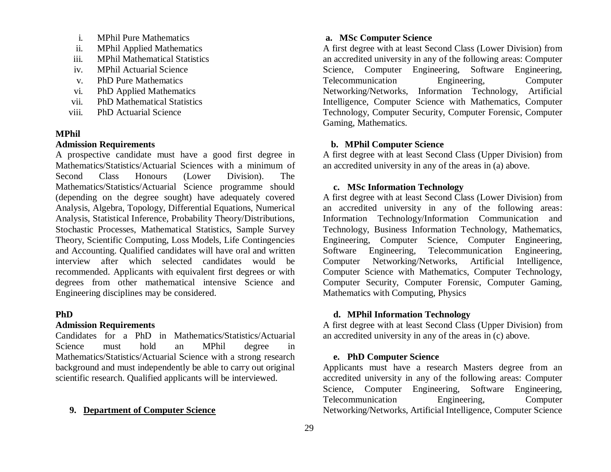- i. MPhil Pure Mathematics
- ii. MPhil Applied Mathematics
- iii. MPhil Mathematical Statistics
- iv. MPhil Actuarial Science
- v. PhD Pure Mathematics
- vi. PhD Applied Mathematics
- vii. PhD Mathematical Statistics
- viii. PhD Actuarial Science

### **MPhil**

## **Admission Requirements**

A prospective candidate must have a good first degree in Mathematics/Statistics/Actuarial Sciences with a minimum of Second Class Honours (Lower Division). The Mathematics/Statistics/Actuarial Science programme should (depending on the degree sought) have adequately covered Analysis, Algebra, Topology, Differential Equations, Numerical Analysis, Statistical Inference, Probability Theory/Distributions, Stochastic Processes, Mathematical Statistics, Sample Survey Theory, Scientific Computing, Loss Models, Life Contingencies and Accounting. Qualified candidates will have oral and written interview after which selected candidates would be recommended. Applicants with equivalent first degrees or with degrees from other mathematical intensive Science and Engineering disciplines may be considered.

### **PhD**

### **Admission Requirements**

Candidates for a PhD in Mathematics/Statistics/Actuarial Science must hold an MPhil degree in Mathematics/Statistics/Actuarial Science with a strong research background and must independently be able to carry out original scientific research. Qualified applicants will be interviewed.

#### **9. Department of Computer Science**

### **a. MSc Computer Science**

A first degree with at least Second Class (Lower Division) from an accredited university in any of the following areas: Computer Science, Computer Engineering, Software Engineering, Telecommunication Engineering, Computer Networking/Networks, Information Technology, Artificial Intelligence, Computer Science with Mathematics, Computer Technology, Computer Security, Computer Forensic, Computer Gaming, Mathematics.

### **b. MPhil Computer Science**

A first degree with at least Second Class (Upper Division) from an accredited university in any of the areas in (a) above.

### **c. MSc Information Technology**

A first degree with at least Second Class (Lower Division) from an accredited university in any of the following areas: Information Technology/Information Communication and Technology, Business Information Technology, Mathematics, Engineering, Computer Science, Computer Engineering, Software Engineering, Telecommunication Engineering, Computer Networking/Networks, Artificial Intelligence, Computer Science with Mathematics, Computer Technology, Computer Security, Computer Forensic, Computer Gaming, Mathematics with Computing, Physics

### **d. MPhil Information Technology**

A first degree with at least Second Class (Upper Division) from an accredited university in any of the areas in (c) above.

### **e. PhD Computer Science**

Applicants must have a research Masters degree from an accredited university in any of the following areas: Computer Science, Computer Engineering, Software Engineering, Telecommunication Engineering, Computer Networking/Networks, Artificial Intelligence, Computer Science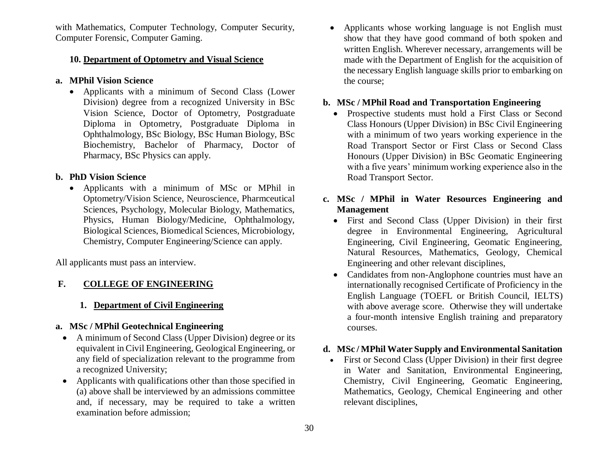with Mathematics, Computer Technology, Computer Security, Computer Forensic, Computer Gaming.

### **10. Department of Optometry and Visual Science**

### **a. MPhil Vision Science**

 Applicants with a minimum of Second Class (Lower Division) degree from a recognized University in BSc Vision Science, Doctor of Optometry, Postgraduate Diploma in Optometry, Postgraduate Diploma in Ophthalmology, BSc Biology, BSc Human Biology, BSc Biochemistry, Bachelor of Pharmacy, Doctor of Pharmacy, BSc Physics can apply.

### **b. PhD Vision Science**

 Applicants with a minimum of MSc or MPhil in Optometry/Vision Science, Neuroscience, Pharmceutical Sciences, Psychology, Molecular Biology, Mathematics, Physics, Human Biology/Medicine, Ophthalmology, Biological Sciences, Biomedical Sciences, Microbiology, Chemistry, Computer Engineering/Science can apply.

All applicants must pass an interview.

# **F. COLLEGE OF ENGINEERING**

## **1. Department of Civil Engineering**

## **a. MSc / MPhil Geotechnical Engineering**

- A minimum of Second Class (Upper Division) degree or its equivalent in Civil Engineering, Geological Engineering, or any field of specialization relevant to the programme from a recognized University;
- Applicants with qualifications other than those specified in (a) above shall be interviewed by an admissions committee and, if necessary, may be required to take a written examination before admission;

• Applicants whose working language is not English must show that they have good command of both spoken and written English. Wherever necessary, arrangements will be made with the Department of English for the acquisition of the necessary English language skills prior to embarking on the course;

### **b. MSc / MPhil Road and Transportation Engineering**

- Prospective students must hold a First Class or Second Class Honours (Upper Division) in BSc Civil Engineering with a minimum of two years working experience in the Road Transport Sector or First Class or Second Class Honours (Upper Division) in BSc Geomatic Engineering with a five years' minimum working experience also in the Road Transport Sector.
- **c. MSc / MPhil in Water Resources Engineering and Management**
	- First and Second Class (Upper Division) in their first degree in Environmental Engineering, Agricultural Engineering, Civil Engineering, Geomatic Engineering, Natural Resources, Mathematics, Geology, Chemical Engineering and other relevant disciplines,
	- Candidates from non-Anglophone countries must have an internationally recognised Certificate of Proficiency in the English Language [\(TOEFL](http://www.toefl.com/) or [British Council,](http://www.britishcouncil.org/home) [IELTS\)](http://www.ielts.org/) with above average score. Otherwise they will undertake a four-month intensive English training and preparatory courses.

### **d. MSc / MPhil Water Supply and Environmental Sanitation**

 First or Second Class (Upper Division) in their first degree in Water and Sanitation, Environmental Engineering, Chemistry, Civil Engineering, Geomatic Engineering, Mathematics, Geology, Chemical Engineering and other relevant disciplines,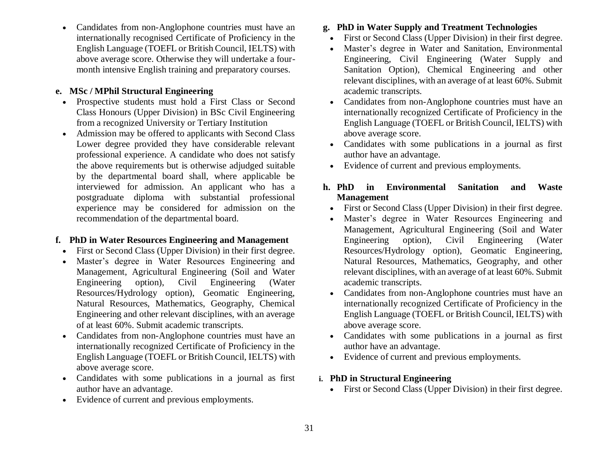Candidates from non-Anglophone countries must have an internationally recognised Certificate of Proficiency in the English Language [\(TOEFL](http://www.toefl.com/) or [British Council,](http://www.britishcouncil.org/home) [IELTS\)](http://www.ielts.org/) with above average score. Otherwise they will undertake a fourmonth intensive English training and preparatory courses.

# **e. MSc / MPhil Structural Engineering**

- Prospective students must hold a First Class or Second Class Honours (Upper Division) in BSc Civil Engineering from a recognized University or Tertiary Institution
- Admission may be offered to applicants with Second Class Lower degree provided they have considerable relevant professional experience. A candidate who does not satisfy the above requirements but is otherwise adjudged suitable by the departmental board shall, where applicable be interviewed for admission. An applicant who has a postgraduate diploma with substantial professional experience may be considered for admission on the recommendation of the departmental board.

# **f. PhD in Water Resources Engineering and Management**

- First or Second Class (Upper Division) in their first degree.
- Master's degree in Water Resources Engineering and Management, Agricultural Engineering (Soil and Water Engineering option), Civil Engineering (Water Resources/Hydrology option), Geomatic Engineering, Natural Resources, Mathematics, Geography, Chemical Engineering and other relevant disciplines, with an average of at least 60%. Submit academic transcripts.
- Candidates from non-Anglophone countries must have an internationally recognized Certificate of Proficiency in the English Language (TOEFL or British Council, IELTS) with above average score.
- Candidates with some publications in a journal as first author have an advantage.
- Evidence of current and previous employments.

# **g. PhD in Water Supply and Treatment Technologies**

- First or Second Class (Upper Division) in their first degree.
- Master's degree in Water and Sanitation, Environmental Engineering, Civil Engineering (Water Supply and Sanitation Option), Chemical Engineering and other relevant disciplines, with an average of at least 60%. Submit academic transcripts.
- Candidates from non-Anglophone countries must have an internationally recognized Certificate of Proficiency in the English Language (TOEFL or British Council, IELTS) with above average score.
- Candidates with some publications in a journal as first author have an advantage.
- Evidence of current and previous employments.

# **h. PhD in Environmental Sanitation and Waste Management**

- First or Second Class (Upper Division) in their first degree.
- Master's degree in Water Resources Engineering and Management, Agricultural Engineering (Soil and Water Engineering option), Civil Engineering (Water Resources/Hydrology option), Geomatic Engineering, Natural Resources, Mathematics, Geography, and other relevant disciplines, with an average of at least 60%. Submit academic transcripts.
- Candidates from non-Anglophone countries must have an internationally recognized Certificate of Proficiency in the English Language (TOEFL or British Council, IELTS) with above average score.
- Candidates with some publications in a journal as first author have an advantage.
- Evidence of current and previous employments.

# **i. PhD in Structural Engineering**

First or Second Class (Upper Division) in their first degree.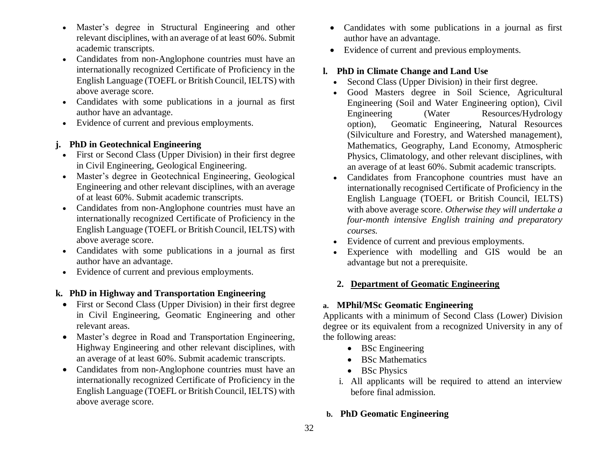- Master's degree in Structural Engineering and other relevant disciplines, with an average of at least 60%. Submit academic transcripts.
- Candidates from non-Anglophone countries must have an internationally recognized Certificate of Proficiency in the English Language (TOEFL or British Council, IELTS) with above average score.
- Candidates with some publications in a journal as first author have an advantage.
- Evidence of current and previous employments.

# **j. PhD in Geotechnical Engineering**

- First or Second Class (Upper Division) in their first degree in Civil Engineering, Geological Engineering.
- Master's degree in Geotechnical Engineering, Geological Engineering and other relevant disciplines, with an average of at least 60%. Submit academic transcripts.
- Candidates from non-Anglophone countries must have an internationally recognized Certificate of Proficiency in the English Language (TOEFL or British Council, IELTS) with above average score.
- Candidates with some publications in a journal as first author have an advantage.
- Evidence of current and previous employments.

# **k. PhD in Highway and Transportation Engineering**

- First or Second Class (Upper Division) in their first degree in Civil Engineering, Geomatic Engineering and other relevant areas.
- Master's degree in Road and Transportation Engineering, Highway Engineering and other relevant disciplines, with an average of at least 60%. Submit academic transcripts.
- Candidates from non-Anglophone countries must have an internationally recognized Certificate of Proficiency in the English Language (TOEFL or British Council, IELTS) with above average score.
- Candidates with some publications in a journal as first author have an advantage.
- Evidence of current and previous employments.

# **l. PhD in Climate Change and Land Use**

- Second Class (Upper Division) in their first degree.
- Good Masters degree in Soil Science, Agricultural Engineering (Soil and Water Engineering option), Civil Engineering (Water Resources/Hydrology option), Geomatic Engineering, Natural Resources (Silviculture and Forestry, and Watershed management), Mathematics, Geography, Land Economy, Atmospheric Physics, Climatology, and other relevant disciplines, with an average of at least 60%. Submit academic transcripts.
- Candidates from Francophone countries must have an internationally recognised Certificate of Proficiency in the English Language [\(TOEFL](http://www.toefl.com/) or [British Council,](http://www.britishcouncil.org/home) [IELTS\)](http://www.ielts.org/) with above average score. *Otherwise they will undertake a four-month intensive English training and preparatory courses.*
- Evidence of current and previous employments.
- Experience with modelling and GIS would be an advantage but not a prerequisite.

# **2. Department of Geomatic Engineering**

# **a. MPhil/MSc Geomatic Engineering**

Applicants with a minimum of Second Class (Lower) Division degree or its equivalent from a recognized University in any of the following areas:

- BSc Engineering
- BSc Mathematics
- BSc Physics
- i. All applicants will be required to attend an interview before final admission.

# **b. PhD Geomatic Engineering**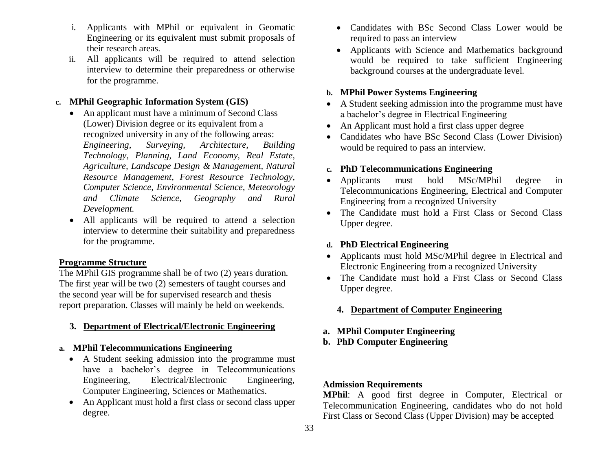- i. Applicants with MPhil or equivalent in Geomatic Engineering or its equivalent must submit proposals of their research areas.
- ii. All applicants will be required to attend selection interview to determine their preparedness or otherwise for the programme.

## **c. MPhil Geographic Information System (GIS)**

- An applicant must have a minimum of Second Class (Lower) Division degree or its equivalent from a recognized university in any of the following areas: *Engineering, Surveying, Architecture, Building Technology, Planning, Land Economy, Real Estate, Agriculture, Landscape Design & Management, Natural Resource Management, Forest Resource Technology, Computer Science, Environmental Science, Meteorology and Climate Science, Geography and Rural Development.*
- All applicants will be required to attend a selection interview to determine their suitability and preparedness for the programme.

## **Programme Structure**

The MPhil GIS programme shall be of two (2) years duration. The first year will be two (2) semesters of taught courses and the second year will be for supervised research and thesis report preparation. Classes will mainly be held on weekends.

## **3. Department of Electrical/Electronic Engineering**

## **a. MPhil Telecommunications Engineering**

- A Student seeking admission into the programme must have a bachelor's degree in Telecommunications Engineering, Electrical/Electronic Engineering, Computer Engineering, Sciences or Mathematics.
- An Applicant must hold a first class or second class upper degree.
- Candidates with BSc Second Class Lower would be required to pass an interview
- Applicants with Science and Mathematics background would be required to take sufficient Engineering background courses at the undergraduate level.

## **b. MPhil Power Systems Engineering**

- A Student seeking admission into the programme must have a bachelor's degree in Electrical Engineering
- An Applicant must hold a first class upper degree
- Candidates who have BSc Second Class (Lower Division) would be required to pass an interview.

### **c. PhD Telecommunications Engineering**

- Applicants must hold MSc/MPhil degree in Telecommunications Engineering, Electrical and Computer Engineering from a recognized University
- The Candidate must hold a First Class or Second Class Upper degree.

### **d. PhD Electrical Engineering**

- Applicants must hold MSc/MPhil degree in Electrical and Electronic Engineering from a recognized University
- The Candidate must hold a First Class or Second Class Upper degree.

### **4. Department of Computer Engineering**

- **a. MPhil Computer Engineering**
- **b. PhD Computer Engineering**

## **Admission Requirements**

**MPhil**: A good first degree in Computer, Electrical or Telecommunication Engineering, candidates who do not hold First Class or Second Class (Upper Division) may be accepted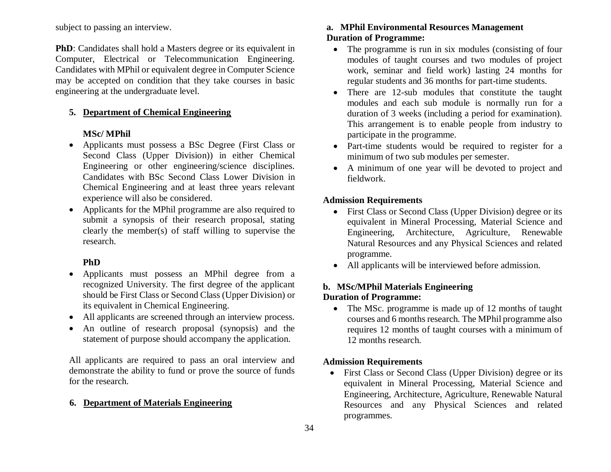subject to passing an interview.

**PhD**: Candidates shall hold a Masters degree or its equivalent in Computer, Electrical or Telecommunication Engineering. Candidates with MPhil or equivalent degree in Computer Science may be accepted on condition that they take courses in basic engineering at the undergraduate level.

## **5. Department of Chemical Engineering**

### **MSc/ MPhil**

- Applicants must possess a BSc Degree (First Class or Second Class (Upper Division)) in either Chemical Engineering or other engineering/science disciplines. Candidates with BSc Second Class Lower Division in Chemical Engineering and at least three years relevant experience will also be considered.
- Applicants for the MPhil programme are also required to submit a synopsis of their research proposal, stating clearly the member(s) of staff willing to supervise the research.

### **PhD**

- Applicants must possess an MPhil degree from a recognized University. The first degree of the applicant should be First Class or Second Class (Upper Division) or its equivalent in Chemical Engineering.
- All applicants are screened through an interview process.
- An outline of research proposal (synopsis) and the statement of purpose should accompany the application.

All applicants are required to pass an oral interview and demonstrate the ability to fund or prove the source of funds for the research.

## **6. Department of Materials Engineering**

# **a. MPhil Environmental Resources Management Duration of Programme:**

- The programme is run in six modules (consisting of four modules of taught courses and two modules of project work, seminar and field work) lasting 24 months for regular students and 36 months for part-time students.
- There are 12-sub modules that constitute the taught modules and each sub module is normally run for a duration of 3 weeks (including a period for examination). This arrangement is to enable people from industry to participate in the programme.
- Part-time students would be required to register for a minimum of two sub modules per semester.
- A minimum of one year will be devoted to project and fieldwork.

# **Admission Requirements**

- First Class or Second Class (Upper Division) degree or its equivalent in Mineral Processing, Material Science and Engineering, Architecture, Agriculture, Renewable Natural Resources and any Physical Sciences and related programme.
- All applicants will be interviewed before admission.

### **b. MSc/MPhil Materials Engineering Duration of Programme:**

• The MSc. programme is made up of 12 months of taught courses and 6 months research. The MPhil programme also requires 12 months of taught courses with a minimum of 12 months research.

# **Admission Requirements**

• First Class or Second Class (Upper Division) degree or its equivalent in Mineral Processing, Material Science and Engineering, Architecture, Agriculture, Renewable Natural Resources and any Physical Sciences and related programmes.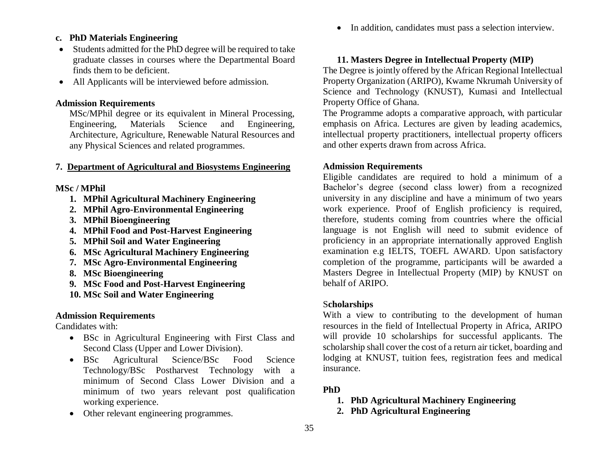• In addition, candidates must pass a selection interview.

## **c. PhD Materials Engineering**

- Students admitted for the PhD degree will be required to take graduate classes in courses where the Departmental Board finds them to be deficient.
- All Applicants will be interviewed before admission.

### **Admission Requirements**

MSc/MPhil degree or its equivalent in Mineral Processing, Engineering, Materials Science and Engineering, Architecture, Agriculture, Renewable Natural Resources and any Physical Sciences and related programmes.

### **7. Department of Agricultural and Biosystems Engineering**

#### **MSc / MPhil**

- **1. MPhil Agricultural Machinery Engineering**
- **2. MPhil Agro-Environmental Engineering**
- **3. MPhil Bioengineering**
- **4. MPhil Food and Post-Harvest Engineering**
- **5. MPhil Soil and Water Engineering**
- **6. MSc Agricultural Machinery Engineering**
- **7. MSc Agro-Environmental Engineering**
- **8. MSc Bioengineering**
- **9. MSc Food and Post-Harvest Engineering**
- **10. MSc Soil and Water Engineering**

## **Admission Requirements**

Candidates with:

- BSc in Agricultural Engineering with First Class and Second Class (Upper and Lower Division).
- BSc Agricultural Science/BSc Food Science Technology/BSc Postharvest Technology with a minimum of Second Class Lower Division and a minimum of two years relevant post qualification working experience.
- Other relevant engineering programmes.

## **11. Masters Degree in Intellectual Property (MIP)**

The Degree is jointly offered by the African Regional Intellectual Property Organization (ARIPO), Kwame Nkrumah University of Science and Technology (KNUST), Kumasi and Intellectual Property Office of Ghana.

The Programme adopts a comparative approach, with particular emphasis on Africa. Lectures are given by leading academics, intellectual property practitioners, intellectual property officers and other experts drawn from across Africa.

## **Admission Requirements**

Eligible candidates are required to hold a minimum of a Bachelor's degree (second class lower) from a recognized university in any discipline and have a minimum of two years work experience. Proof of English proficiency is required, therefore, students coming from countries where the official language is not English will need to submit evidence of proficiency in an appropriate internationally approved English examination e.g IELTS, TOEFL AWARD. Upon satisfactory completion of the programme, participants will be awarded a Masters Degree in Intellectual Property (MIP) by KNUST on behalf of ARIPO.

### S**cholarships**

With a view to contributing to the development of human resources in the field of Intellectual Property in Africa, ARIPO will provide 10 scholarships for successful applicants. The scholarship shall cover the cost of a return air ticket, boarding and lodging at KNUST, tuition fees, registration fees and medical insurance.

### **PhD**

- **1. PhD Agricultural Machinery Engineering**
- **2. PhD Agricultural Engineering**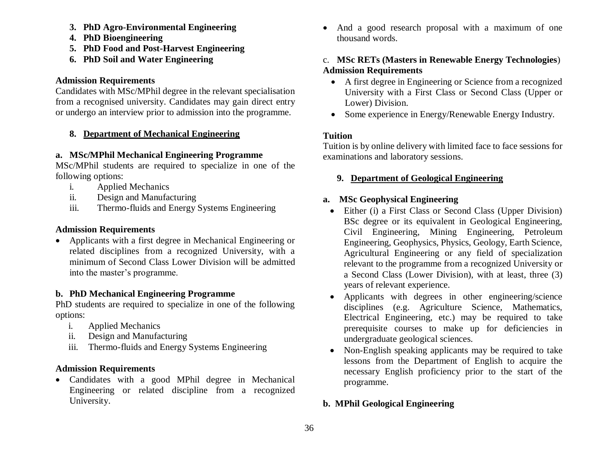- **3. PhD Agro-Environmental Engineering**
- **4. PhD Bioengineering**
- **5. PhD Food and Post-Harvest Engineering**
- **6. PhD Soil and Water Engineering**

# **Admission Requirements**

Candidates with MSc/MPhil degree in the relevant specialisation from a recognised university. Candidates may gain direct entry or undergo an interview prior to admission into the programme.

# **8. Department of Mechanical Engineering**

# **a. MSc/MPhil Mechanical Engineering Programme**

MSc/MPhil students are required to specialize in one of the following options:

- i. Applied Mechanics
- ii. Design and Manufacturing
- iii. Thermo-fluids and Energy Systems Engineering

# **Admission Requirements**

 Applicants with a first degree in Mechanical Engineering or related disciplines from a recognized University, with a minimum of Second Class Lower Division will be admitted into the master's programme.

# **b. PhD Mechanical Engineering Programme**

PhD students are required to specialize in one of the following options:

- i. Applied Mechanics
- ii. Design and Manufacturing
- iii. Thermo-fluids and Energy Systems Engineering

# **Admission Requirements**

 Candidates with a good MPhil degree in Mechanical Engineering or related discipline from a recognized University.

• And a good research proposal with a maximum of one thousand words.

# c. **MSc RETs (Masters in Renewable Energy Technologies**) **Admission Requirements**

- A first degree in Engineering or Science from a recognized University with a First Class or Second Class (Upper or Lower) Division.
- Some experience in Energy/Renewable Energy Industry.

# **Tuition**

Tuition is by online delivery with limited face to face sessions for examinations and laboratory sessions.

# **9. Department of Geological Engineering**

# **a. MSc Geophysical Engineering**

- Either (i) a First Class or Second Class (Upper Division) BSc degree or its equivalent in Geological Engineering, Civil Engineering, Mining Engineering, Petroleum Engineering, Geophysics, Physics, Geology, Earth Science, Agricultural Engineering or any field of specialization relevant to the programme from a recognized University or a Second Class (Lower Division), with at least, three (3) years of relevant experience.
- Applicants with degrees in other engineering/science disciplines (e.g. Agriculture Science, Mathematics, Electrical Engineering, etc.) may be required to take prerequisite courses to make up for deficiencies in undergraduate geological sciences.
- Non-English speaking applicants may be required to take lessons from the Department of English to acquire the necessary English proficiency prior to the start of the programme.

# **b. MPhil Geological Engineering**